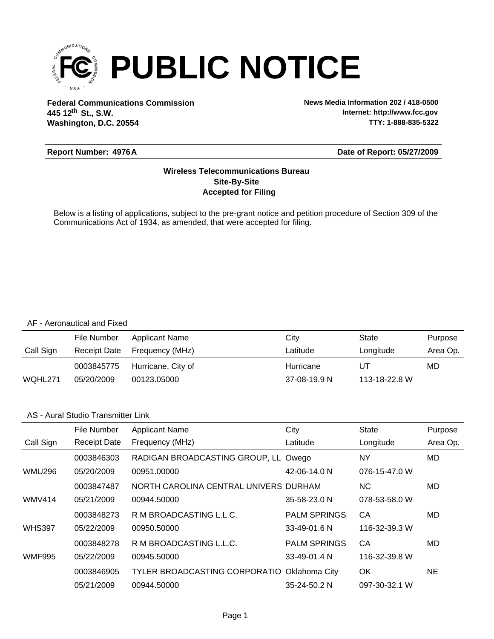

**Federal Communications Commission News Media Information 202 / 418-0500 Washington, D.C. 20554 th 445 12 St., S.W.**

**Internet: http://www.fcc.gov TTY: 1-888-835-5322**

#### **Report Number: 4976A**

#### **Date of Report: 05/27/2009**

#### **Accepted for Filing Site-By-Site Wireless Telecommunications Bureau**

Below is a listing of applications, subject to the pre-grant notice and petition procedure of Section 309 of the Communications Act of 1934, as amended, that were accepted for filing.

#### AF - Aeronautical and Fixed

|           | File Number         | Applicant Name     | Citv         | State         | Purpose  |
|-----------|---------------------|--------------------|--------------|---------------|----------|
| Call Sign | <b>Receipt Date</b> | Frequency (MHz)    | Latitude     | Longitude     | Area Op. |
|           | 0003845775          | Hurricane, City of | Hurricane    | UT            | MD       |
| WQHL271   | 05/20/2009          | 00123.05000        | 37-08-19.9 N | 113-18-22.8 W |          |

#### AS - Aural Studio Transmitter Link

|               | File Number         | <b>Applicant Name</b>                 | City                | <b>State</b>  | Purpose  |
|---------------|---------------------|---------------------------------------|---------------------|---------------|----------|
| Call Sign     | <b>Receipt Date</b> | Frequency (MHz)                       | Latitude            | Longitude     | Area Op. |
|               | 0003846303          | RADIGAN BROADCASTING GROUP, LL Owego  |                     | NY            | MD.      |
| <b>WMU296</b> | 05/20/2009          | 00951.00000                           | 42-06-14.0 N        | 076-15-47.0 W |          |
|               | 0003847487          | NORTH CAROLINA CENTRAL UNIVERS DURHAM |                     | NC.           | MD.      |
| <b>WMV414</b> | 05/21/2009          | 00944.50000                           | 35-58-23.0 N        | 078-53-58.0 W |          |
|               | 0003848273          | R M BROADCASTING L.L.C.               | <b>PALM SPRINGS</b> | CA            | MD       |
| <b>WHS397</b> | 05/22/2009          | 00950.50000                           | 33-49-01.6 N        | 116-32-39.3 W |          |
|               | 0003848278          | R M BROADCASTING L.L.C.               | <b>PALM SPRINGS</b> | CA            | MD       |
| <b>WMF995</b> | 05/22/2009          | 00945.50000                           | 33-49-01.4 N        | 116-32-39.8 W |          |
|               | 0003846905          | TYLER BROADCASTING CORPORATIO         | Oklahoma City       | OK            | NE.      |
|               | 05/21/2009          | 00944.50000                           | 35-24-50.2 N        | 097-30-32.1 W |          |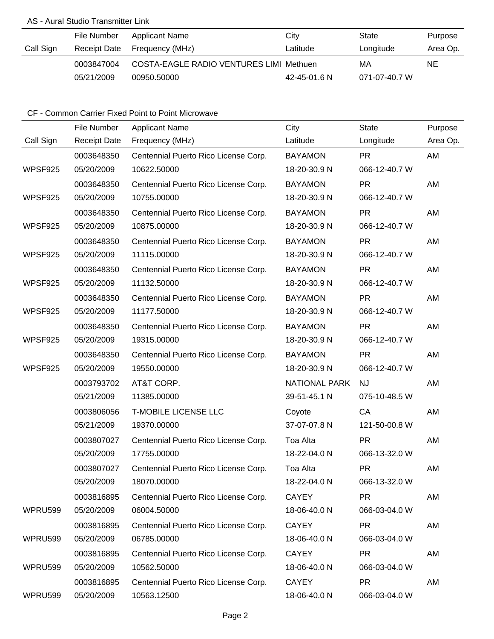### AS - Aural Studio Transmitter Link

|           | File Number  | Applicant Name                                 | City         | State         | Purpose  |
|-----------|--------------|------------------------------------------------|--------------|---------------|----------|
| Call Sign | Receipt Date | Frequency (MHz)                                | Latitude     | Longitude     | Area Op. |
|           | 0003847004   | <b>COSTA-EAGLE RADIO VENTURES LIMI Methuen</b> |              | МA            | NE.      |
|           | 05/21/2009   | 00950.50000                                    | 42-45-01.6 N | 071-07-40.7 W |          |

|                | File Number         | <b>Applicant Name</b>                | City                 | <b>State</b>  | Purpose  |
|----------------|---------------------|--------------------------------------|----------------------|---------------|----------|
| Call Sign      | <b>Receipt Date</b> | Frequency (MHz)                      | Latitude             | Longitude     | Area Op. |
|                | 0003648350          | Centennial Puerto Rico License Corp. | <b>BAYAMON</b>       | <b>PR</b>     | AM       |
| WPSF925        | 05/20/2009          | 10622.50000                          | 18-20-30.9 N         | 066-12-40.7 W |          |
|                | 0003648350          | Centennial Puerto Rico License Corp. | <b>BAYAMON</b>       | <b>PR</b>     | AM       |
| WPSF925        | 05/20/2009          | 10755.00000                          | 18-20-30.9 N         | 066-12-40.7 W |          |
|                | 0003648350          | Centennial Puerto Rico License Corp. | <b>BAYAMON</b>       | <b>PR</b>     | AM       |
| WPSF925        | 05/20/2009          | 10875.00000                          | 18-20-30.9 N         | 066-12-40.7 W |          |
|                | 0003648350          | Centennial Puerto Rico License Corp. | <b>BAYAMON</b>       | <b>PR</b>     | AM       |
| WPSF925        | 05/20/2009          | 11115.00000                          | 18-20-30.9 N         | 066-12-40.7 W |          |
|                | 0003648350          | Centennial Puerto Rico License Corp. | <b>BAYAMON</b>       | <b>PR</b>     | AM       |
| WPSF925        | 05/20/2009          | 11132.50000                          | 18-20-30.9 N         | 066-12-40.7 W |          |
|                | 0003648350          | Centennial Puerto Rico License Corp. | <b>BAYAMON</b>       | <b>PR</b>     | AM       |
| WPSF925        | 05/20/2009          | 11177.50000                          | 18-20-30.9 N         | 066-12-40.7 W |          |
|                | 0003648350          | Centennial Puerto Rico License Corp. | <b>BAYAMON</b>       | <b>PR</b>     | AM       |
| WPSF925        | 05/20/2009          | 19315.00000                          | 18-20-30.9 N         | 066-12-40.7 W |          |
|                | 0003648350          | Centennial Puerto Rico License Corp. | <b>BAYAMON</b>       | <b>PR</b>     | AM       |
| WPSF925        | 05/20/2009          | 19550.00000                          | 18-20-30.9 N         | 066-12-40.7 W |          |
|                | 0003793702          | AT&T CORP.                           | <b>NATIONAL PARK</b> | <b>NJ</b>     | AM       |
|                | 05/21/2009          | 11385.00000                          | 39-51-45.1 N         | 075-10-48.5 W |          |
|                | 0003806056          | <b>T-MOBILE LICENSE LLC</b>          | Coyote               | CA            | AM       |
|                | 05/21/2009          | 19370.00000                          | 37-07-07.8 N         | 121-50-00.8 W |          |
|                | 0003807027          | Centennial Puerto Rico License Corp. | Toa Alta             | <b>PR</b>     | AM       |
|                | 05/20/2009          | 17755.00000                          | 18-22-04.0 N         | 066-13-32.0 W |          |
|                | 0003807027          | Centennial Puerto Rico License Corp. | Toa Alta             | <b>PR</b>     | AM       |
|                | 05/20/2009          | 18070.00000                          | 18-22-04.0 N         | 066-13-32.0 W |          |
|                | 0003816895          | Centennial Puerto Rico License Corp. | <b>CAYEY</b>         | <b>PR</b>     | AM       |
| WPRU599        | 05/20/2009          | 06004.50000                          | 18-06-40.0 N         | 066-03-04.0 W |          |
|                | 0003816895          | Centennial Puerto Rico License Corp. | <b>CAYEY</b>         | <b>PR</b>     | AM       |
| <b>WPRU599</b> | 05/20/2009          | 06785.00000                          | 18-06-40.0 N         | 066-03-04.0 W |          |
|                | 0003816895          | Centennial Puerto Rico License Corp. | <b>CAYEY</b>         | <b>PR</b>     | AM       |
| WPRU599        | 05/20/2009          | 10562.50000                          | 18-06-40.0 N         | 066-03-04.0 W |          |
|                | 0003816895          | Centennial Puerto Rico License Corp. | <b>CAYEY</b>         | <b>PR</b>     | AM       |
| WPRU599        | 05/20/2009          | 10563.12500                          | 18-06-40.0 N         | 066-03-04.0 W |          |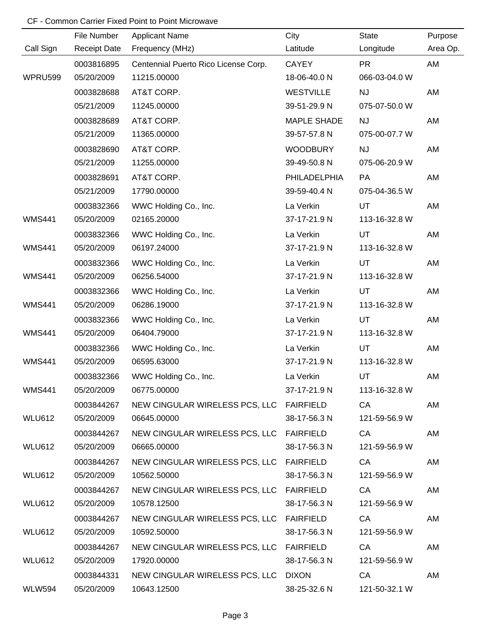|                | File Number         | <b>Applicant Name</b>                    | City               | <b>State</b>  | Purpose  |
|----------------|---------------------|------------------------------------------|--------------------|---------------|----------|
| Call Sign      | <b>Receipt Date</b> | Frequency (MHz)                          | Latitude           | Longitude     | Area Op. |
|                | 0003816895          | Centennial Puerto Rico License Corp.     | <b>CAYEY</b>       | <b>PR</b>     | AM       |
| <b>WPRU599</b> | 05/20/2009          | 11215.00000                              | 18-06-40.0 N       | 066-03-04.0 W |          |
|                | 0003828688          | AT&T CORP.                               | <b>WESTVILLE</b>   | <b>NJ</b>     | AM       |
|                | 05/21/2009          | 11245.00000                              | 39-51-29.9 N       | 075-07-50.0 W |          |
|                | 0003828689          | AT&T CORP.                               | <b>MAPLE SHADE</b> | <b>NJ</b>     | AM       |
|                | 05/21/2009          | 11365.00000                              | 39-57-57.8 N       | 075-00-07.7 W |          |
|                | 0003828690          | AT&T CORP.                               | <b>WOODBURY</b>    | <b>NJ</b>     | AM       |
|                | 05/21/2009          | 11255.00000                              | 39-49-50.8 N       | 075-06-20.9 W |          |
|                | 0003828691          | AT&T CORP.                               | PHILADELPHIA       | <b>PA</b>     | AM       |
|                | 05/21/2009          | 17790.00000                              | 39-59-40.4 N       | 075-04-36.5 W |          |
|                | 0003832366          | WWC Holding Co., Inc.                    | La Verkin          | UT            | AM       |
| <b>WMS441</b>  | 05/20/2009          | 02165.20000                              | 37-17-21.9 N       | 113-16-32.8 W |          |
|                | 0003832366          | WWC Holding Co., Inc.                    | La Verkin          | UT            | AM       |
| <b>WMS441</b>  | 05/20/2009          | 06197.24000                              | 37-17-21.9 N       | 113-16-32.8 W |          |
|                | 0003832366          | WWC Holding Co., Inc.                    | La Verkin          | <b>UT</b>     | AM       |
| <b>WMS441</b>  | 05/20/2009          | 06256.54000                              | 37-17-21.9 N       | 113-16-32.8 W |          |
|                | 0003832366          | WWC Holding Co., Inc.                    | La Verkin          | UT            | AM       |
| <b>WMS441</b>  | 05/20/2009          | 06286.19000                              | 37-17-21.9 N       | 113-16-32.8 W |          |
|                | 0003832366          | WWC Holding Co., Inc.                    | La Verkin          | UT            | AM       |
| <b>WMS441</b>  | 05/20/2009          | 06404.79000                              | 37-17-21.9 N       | 113-16-32.8 W |          |
|                | 0003832366          | WWC Holding Co., Inc.                    | La Verkin          | UT            | AM       |
| <b>WMS441</b>  | 05/20/2009          | 06595.63000                              | 37-17-21.9 N       | 113-16-32.8 W |          |
|                | 0003832366          | WWC Holding Co., Inc.                    | La Verkin          | UT            | AM       |
| <b>WMS441</b>  | 05/20/2009          | 06775.00000                              | 37-17-21.9 N       | 113-16-32.8 W |          |
|                | 0003844267          | NEW CINGULAR WIRELESS PCS, LLC FAIRFIELD |                    | CA            | AM       |
| <b>WLU612</b>  | 05/20/2009          | 06645.00000                              | 38-17-56.3 N       | 121-59-56.9 W |          |
|                | 0003844267          | NEW CINGULAR WIRELESS PCS, LLC FAIRFIELD |                    | CA            | AM       |
| <b>WLU612</b>  | 05/20/2009          | 06665.00000                              | 38-17-56.3 N       | 121-59-56.9 W |          |
|                | 0003844267          | NEW CINGULAR WIRELESS PCS, LLC FAIRFIELD |                    | CA            | AM       |
| WLU612         | 05/20/2009          | 10562.50000                              | 38-17-56.3 N       | 121-59-56.9 W |          |
|                | 0003844267          | NEW CINGULAR WIRELESS PCS, LLC FAIRFIELD |                    | CA            | AM       |
| WLU612         | 05/20/2009          | 10578.12500                              | 38-17-56.3 N       | 121-59-56.9 W |          |
|                | 0003844267          | NEW CINGULAR WIRELESS PCS, LLC FAIRFIELD |                    | CA            | AM       |
| WLU612         | 05/20/2009          | 10592.50000                              | 38-17-56.3 N       | 121-59-56.9 W |          |
|                | 0003844267          | NEW CINGULAR WIRELESS PCS, LLC FAIRFIELD |                    | CA            | AM       |
| <b>WLU612</b>  | 05/20/2009          | 17920.00000                              | 38-17-56.3 N       | 121-59-56.9 W |          |
|                | 0003844331          | NEW CINGULAR WIRELESS PCS, LLC DIXON     |                    | CA            | AM       |
| <b>WLW594</b>  | 05/20/2009          | 10643.12500                              | 38-25-32.6 N       | 121-50-32.1 W |          |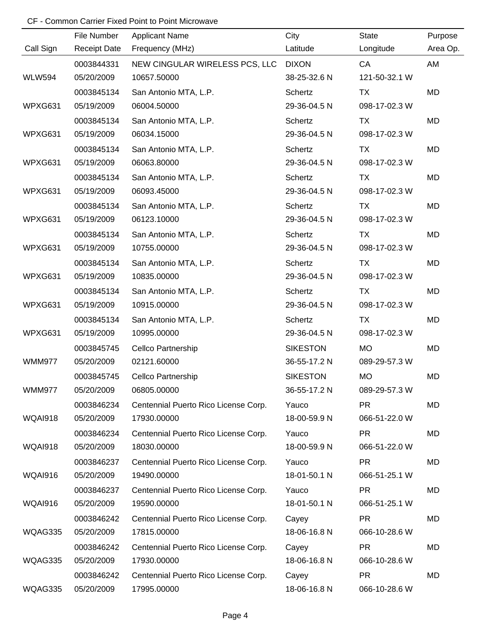|                | File Number         | <b>Applicant Name</b>                | City            | State         | Purpose   |
|----------------|---------------------|--------------------------------------|-----------------|---------------|-----------|
| Call Sign      | <b>Receipt Date</b> | Frequency (MHz)                      | Latitude        | Longitude     | Area Op.  |
|                | 0003844331          | NEW CINGULAR WIRELESS PCS, LLC       | <b>DIXON</b>    | CA            | AM        |
| <b>WLW594</b>  | 05/20/2009          | 10657.50000                          | 38-25-32.6 N    | 121-50-32.1 W |           |
|                | 0003845134          | San Antonio MTA, L.P.                | Schertz         | <b>TX</b>     | MD        |
| WPXG631        | 05/19/2009          | 06004.50000                          | 29-36-04.5 N    | 098-17-02.3 W |           |
|                | 0003845134          | San Antonio MTA, L.P.                | Schertz         | <b>TX</b>     | MD        |
| WPXG631        | 05/19/2009          | 06034.15000                          | 29-36-04.5 N    | 098-17-02.3 W |           |
|                | 0003845134          | San Antonio MTA, L.P.                | Schertz         | <b>TX</b>     | MD        |
| WPXG631        | 05/19/2009          | 06063.80000                          | 29-36-04.5 N    | 098-17-02.3 W |           |
|                | 0003845134          | San Antonio MTA, L.P.                | Schertz         | <b>TX</b>     | MD        |
| WPXG631        | 05/19/2009          | 06093.45000                          | 29-36-04.5 N    | 098-17-02.3 W |           |
|                | 0003845134          | San Antonio MTA, L.P.                | Schertz         | TX            | MD        |
| WPXG631        | 05/19/2009          | 06123.10000                          | 29-36-04.5 N    | 098-17-02.3 W |           |
|                | 0003845134          | San Antonio MTA, L.P.                | Schertz         | <b>TX</b>     | MD        |
| WPXG631        | 05/19/2009          | 10755.00000                          | 29-36-04.5 N    | 098-17-02.3 W |           |
|                | 0003845134          | San Antonio MTA, L.P.                | Schertz         | TX            | MD        |
| WPXG631        | 05/19/2009          | 10835.00000                          | 29-36-04.5 N    | 098-17-02.3 W |           |
|                | 0003845134          | San Antonio MTA, L.P.                | Schertz         | TX            | MD        |
| WPXG631        | 05/19/2009          | 10915.00000                          | 29-36-04.5 N    | 098-17-02.3 W |           |
|                | 0003845134          | San Antonio MTA, L.P.                | Schertz         | <b>TX</b>     | MD        |
| WPXG631        | 05/19/2009          | 10995.00000                          | 29-36-04.5 N    | 098-17-02.3 W |           |
|                | 0003845745          | Cellco Partnership                   | <b>SIKESTON</b> | <b>MO</b>     | MD        |
| <b>WMM977</b>  | 05/20/2009          | 02121.60000                          | 36-55-17.2 N    | 089-29-57.3 W |           |
|                | 0003845745          | Cellco Partnership                   | <b>SIKESTON</b> | <b>MO</b>     | <b>MD</b> |
| <b>WMM977</b>  | 05/20/2009          | 06805.00000                          | 36-55-17.2 N    | 089-29-57.3 W |           |
|                | 0003846234          | Centennial Puerto Rico License Corp. | Yauco           | <b>PR</b>     | MD        |
| <b>WQAI918</b> | 05/20/2009          | 17930.00000                          | 18-00-59.9 N    | 066-51-22.0 W |           |
|                | 0003846234          | Centennial Puerto Rico License Corp. | Yauco           | <b>PR</b>     | MD        |
| <b>WQAI918</b> | 05/20/2009          | 18030.00000                          | 18-00-59.9 N    | 066-51-22.0 W |           |
|                | 0003846237          | Centennial Puerto Rico License Corp. | Yauco           | <b>PR</b>     | MD        |
| <b>WQAI916</b> | 05/20/2009          | 19490.00000                          | 18-01-50.1 N    | 066-51-25.1 W |           |
|                | 0003846237          | Centennial Puerto Rico License Corp. | Yauco           | <b>PR</b>     | MD        |
| <b>WQAI916</b> | 05/20/2009          | 19590.00000                          | 18-01-50.1 N    | 066-51-25.1 W |           |
|                | 0003846242          | Centennial Puerto Rico License Corp. | Cayey           | <b>PR</b>     | MD        |
| WQAG335        | 05/20/2009          | 17815.00000                          | 18-06-16.8 N    | 066-10-28.6 W |           |
|                | 0003846242          | Centennial Puerto Rico License Corp. | Cayey           | <b>PR</b>     | MD        |
| WQAG335        | 05/20/2009          | 17930.00000                          | 18-06-16.8 N    | 066-10-28.6 W |           |
|                | 0003846242          | Centennial Puerto Rico License Corp. | Cayey           | <b>PR</b>     | MD        |
| WQAG335        | 05/20/2009          | 17995.00000                          | 18-06-16.8 N    | 066-10-28.6 W |           |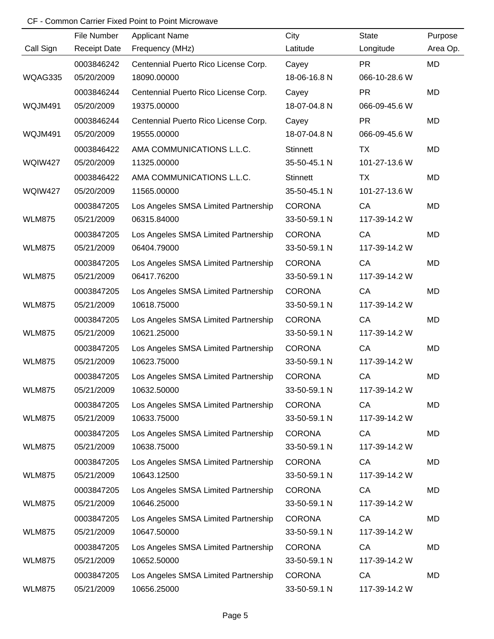|               | File Number         | <b>Applicant Name</b>                | City            | <b>State</b>  | Purpose   |
|---------------|---------------------|--------------------------------------|-----------------|---------------|-----------|
| Call Sign     | <b>Receipt Date</b> | Frequency (MHz)                      | Latitude        | Longitude     | Area Op.  |
|               | 0003846242          | Centennial Puerto Rico License Corp. | Cayey           | <b>PR</b>     | <b>MD</b> |
| WQAG335       | 05/20/2009          | 18090.00000                          | 18-06-16.8 N    | 066-10-28.6 W |           |
|               | 0003846244          | Centennial Puerto Rico License Corp. | Cayey           | <b>PR</b>     | <b>MD</b> |
| WQJM491       | 05/20/2009          | 19375.00000                          | 18-07-04.8 N    | 066-09-45.6 W |           |
|               | 0003846244          | Centennial Puerto Rico License Corp. | Cayey           | <b>PR</b>     | MD        |
| WQJM491       | 05/20/2009          | 19555.00000                          | 18-07-04.8 N    | 066-09-45.6 W |           |
|               | 0003846422          | AMA COMMUNICATIONS L.L.C.            | <b>Stinnett</b> | TX            | MD        |
| WQIW427       | 05/20/2009          | 11325.00000                          | 35-50-45.1 N    | 101-27-13.6 W |           |
|               | 0003846422          | AMA COMMUNICATIONS L.L.C.            | <b>Stinnett</b> | TX            | MD        |
| WQIW427       | 05/20/2009          | 11565.00000                          | 35-50-45.1 N    | 101-27-13.6 W |           |
|               | 0003847205          | Los Angeles SMSA Limited Partnership | <b>CORONA</b>   | CA            | MD        |
| <b>WLM875</b> | 05/21/2009          | 06315.84000                          | 33-50-59.1 N    | 117-39-14.2 W |           |
|               | 0003847205          | Los Angeles SMSA Limited Partnership | <b>CORONA</b>   | CA            | MD        |
| <b>WLM875</b> | 05/21/2009          | 06404.79000                          | 33-50-59.1 N    | 117-39-14.2 W |           |
|               | 0003847205          | Los Angeles SMSA Limited Partnership | <b>CORONA</b>   | CA            | MD        |
| <b>WLM875</b> | 05/21/2009          | 06417.76200                          | 33-50-59.1 N    | 117-39-14.2 W |           |
|               | 0003847205          | Los Angeles SMSA Limited Partnership | <b>CORONA</b>   | CA            | MD        |
| <b>WLM875</b> | 05/21/2009          | 10618.75000                          | 33-50-59.1 N    | 117-39-14.2 W |           |
|               | 0003847205          | Los Angeles SMSA Limited Partnership | <b>CORONA</b>   | CA            | MD        |
| <b>WLM875</b> | 05/21/2009          | 10621.25000                          | 33-50-59.1 N    | 117-39-14.2 W |           |
|               | 0003847205          | Los Angeles SMSA Limited Partnership | <b>CORONA</b>   | CA            | <b>MD</b> |
| <b>WLM875</b> | 05/21/2009          | 10623.75000                          | 33-50-59.1 N    | 117-39-14.2 W |           |
|               | 0003847205          | Los Angeles SMSA Limited Partnership | <b>CORONA</b>   | CA            | MD        |
| <b>WLM875</b> | 05/21/2009          | 10632.50000                          | 33-50-59.1 N    | 117-39-14.2 W |           |
|               | 0003847205          | Los Angeles SMSA Limited Partnership | <b>CORONA</b>   | CA            | MD        |
| <b>WLM875</b> | 05/21/2009          | 10633.75000                          | 33-50-59.1 N    | 117-39-14.2 W |           |
|               | 0003847205          | Los Angeles SMSA Limited Partnership | <b>CORONA</b>   | CA            | MD        |
| <b>WLM875</b> | 05/21/2009          | 10638.75000                          | 33-50-59.1 N    | 117-39-14.2 W |           |
|               | 0003847205          | Los Angeles SMSA Limited Partnership | <b>CORONA</b>   | CA            | MD        |
| <b>WLM875</b> | 05/21/2009          | 10643.12500                          | 33-50-59.1 N    | 117-39-14.2 W |           |
|               | 0003847205          | Los Angeles SMSA Limited Partnership | <b>CORONA</b>   | CA            | MD        |
| <b>WLM875</b> | 05/21/2009          | 10646.25000                          | 33-50-59.1 N    | 117-39-14.2 W |           |
|               | 0003847205          | Los Angeles SMSA Limited Partnership | <b>CORONA</b>   | CA            | MD        |
| <b>WLM875</b> | 05/21/2009          | 10647.50000                          | 33-50-59.1 N    | 117-39-14.2 W |           |
|               | 0003847205          | Los Angeles SMSA Limited Partnership | <b>CORONA</b>   | CA            | MD        |
| <b>WLM875</b> | 05/21/2009          | 10652.50000                          | 33-50-59.1 N    | 117-39-14.2 W |           |
|               | 0003847205          | Los Angeles SMSA Limited Partnership | <b>CORONA</b>   | CA            | MD        |
| <b>WLM875</b> | 05/21/2009          | 10656.25000                          | 33-50-59.1 N    | 117-39-14.2 W |           |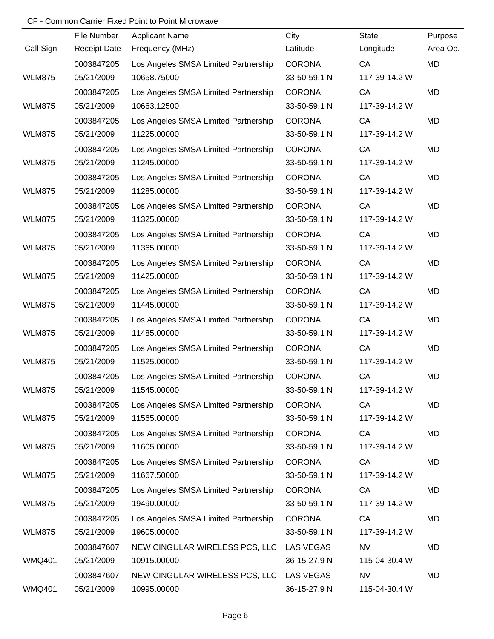|               | File Number         | <b>Applicant Name</b>                    | City          | <b>State</b>  | Purpose   |
|---------------|---------------------|------------------------------------------|---------------|---------------|-----------|
| Call Sign     | <b>Receipt Date</b> | Frequency (MHz)                          | Latitude      | Longitude     | Area Op.  |
|               | 0003847205          | Los Angeles SMSA Limited Partnership     | <b>CORONA</b> | CA            | <b>MD</b> |
| <b>WLM875</b> | 05/21/2009          | 10658.75000                              | 33-50-59.1 N  | 117-39-14.2 W |           |
|               | 0003847205          | Los Angeles SMSA Limited Partnership     | <b>CORONA</b> | CA            | <b>MD</b> |
| <b>WLM875</b> | 05/21/2009          | 10663.12500                              | 33-50-59.1 N  | 117-39-14.2 W |           |
|               | 0003847205          | Los Angeles SMSA Limited Partnership     | <b>CORONA</b> | CA            | MD        |
| <b>WLM875</b> | 05/21/2009          | 11225.00000                              | 33-50-59.1 N  | 117-39-14.2 W |           |
|               | 0003847205          | Los Angeles SMSA Limited Partnership     | <b>CORONA</b> | CA            | MD        |
| <b>WLM875</b> | 05/21/2009          | 11245.00000                              | 33-50-59.1 N  | 117-39-14.2 W |           |
|               | 0003847205          | Los Angeles SMSA Limited Partnership     | <b>CORONA</b> | CA            | MD        |
| <b>WLM875</b> | 05/21/2009          | 11285.00000                              | 33-50-59.1 N  | 117-39-14.2 W |           |
|               | 0003847205          | Los Angeles SMSA Limited Partnership     | <b>CORONA</b> | CA            | MD        |
| <b>WLM875</b> | 05/21/2009          | 11325.00000                              | 33-50-59.1 N  | 117-39-14.2 W |           |
|               | 0003847205          | Los Angeles SMSA Limited Partnership     | <b>CORONA</b> | CA            | MD        |
| <b>WLM875</b> | 05/21/2009          | 11365.00000                              | 33-50-59.1 N  | 117-39-14.2 W |           |
|               | 0003847205          | Los Angeles SMSA Limited Partnership     | <b>CORONA</b> | CA            | MD        |
| <b>WLM875</b> | 05/21/2009          | 11425.00000                              | 33-50-59.1 N  | 117-39-14.2 W |           |
|               | 0003847205          | Los Angeles SMSA Limited Partnership     | <b>CORONA</b> | CA            | MD        |
| <b>WLM875</b> | 05/21/2009          | 11445.00000                              | 33-50-59.1 N  | 117-39-14.2 W |           |
|               | 0003847205          | Los Angeles SMSA Limited Partnership     | <b>CORONA</b> | CA            | MD        |
| <b>WLM875</b> | 05/21/2009          | 11485.00000                              | 33-50-59.1 N  | 117-39-14.2 W |           |
|               | 0003847205          | Los Angeles SMSA Limited Partnership     | <b>CORONA</b> | CA            | MD        |
| <b>WLM875</b> | 05/21/2009          | 11525.00000                              | 33-50-59.1 N  | 117-39-14.2 W |           |
|               | 0003847205          | Los Angeles SMSA Limited Partnership     | <b>CORONA</b> | CA            | MD        |
| <b>WLM875</b> | 05/21/2009          | 11545.00000                              | 33-50-59.1 N  | 117-39-14.2 W |           |
|               | 0003847205          | Los Angeles SMSA Limited Partnership     | <b>CORONA</b> | CA            | MD        |
| <b>WLM875</b> | 05/21/2009          | 11565.00000                              | 33-50-59.1 N  | 117-39-14.2 W |           |
|               | 0003847205          | Los Angeles SMSA Limited Partnership     | <b>CORONA</b> | CA            | MD        |
| <b>WLM875</b> | 05/21/2009          | 11605.00000                              | 33-50-59.1 N  | 117-39-14.2 W |           |
|               | 0003847205          | Los Angeles SMSA Limited Partnership     | <b>CORONA</b> | CA            | MD        |
| <b>WLM875</b> | 05/21/2009          | 11667.50000                              | 33-50-59.1 N  | 117-39-14.2 W |           |
|               | 0003847205          | Los Angeles SMSA Limited Partnership     | <b>CORONA</b> | CA            | MD        |
| <b>WLM875</b> | 05/21/2009          | 19490.00000                              | 33-50-59.1 N  | 117-39-14.2 W |           |
|               | 0003847205          | Los Angeles SMSA Limited Partnership     | <b>CORONA</b> | CA            | MD        |
| <b>WLM875</b> | 05/21/2009          | 19605.00000                              | 33-50-59.1 N  | 117-39-14.2 W |           |
|               | 0003847607          | NEW CINGULAR WIRELESS PCS, LLC LAS VEGAS |               | <b>NV</b>     | MD        |
| <b>WMQ401</b> | 05/21/2009          | 10915.00000                              | 36-15-27.9 N  | 115-04-30.4 W |           |
|               | 0003847607          | NEW CINGULAR WIRELESS PCS, LLC LAS VEGAS |               | <b>NV</b>     | MD        |
| <b>WMQ401</b> | 05/21/2009          | 10995.00000                              | 36-15-27.9 N  | 115-04-30.4 W |           |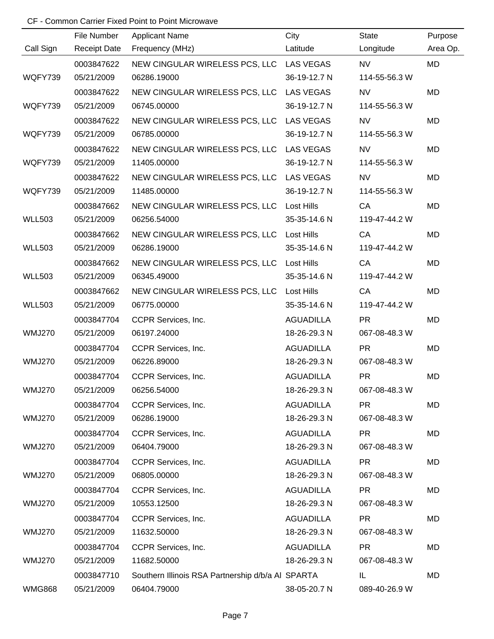|               | File Number         | <b>Applicant Name</b>                             | City              | <b>State</b>  | Purpose   |
|---------------|---------------------|---------------------------------------------------|-------------------|---------------|-----------|
| Call Sign     | <b>Receipt Date</b> | Frequency (MHz)                                   | Latitude          | Longitude     | Area Op.  |
|               | 0003847622          | NEW CINGULAR WIRELESS PCS, LLC LAS VEGAS          |                   | <b>NV</b>     | <b>MD</b> |
| WQFY739       | 05/21/2009          | 06286.19000                                       | 36-19-12.7 N      | 114-55-56.3 W |           |
|               | 0003847622          | NEW CINGULAR WIRELESS PCS, LLC LAS VEGAS          |                   | <b>NV</b>     | MD        |
| WQFY739       | 05/21/2009          | 06745.00000                                       | 36-19-12.7 N      | 114-55-56.3 W |           |
|               | 0003847622          | NEW CINGULAR WIRELESS PCS, LLC LAS VEGAS          |                   | NV            | MD        |
| WQFY739       | 05/21/2009          | 06785.00000                                       | 36-19-12.7 N      | 114-55-56.3 W |           |
|               | 0003847622          | NEW CINGULAR WIRELESS PCS, LLC LAS VEGAS          |                   | <b>NV</b>     | MD        |
| WQFY739       | 05/21/2009          | 11405.00000                                       | 36-19-12.7 N      | 114-55-56.3 W |           |
|               | 0003847622          | NEW CINGULAR WIRELESS PCS, LLC LAS VEGAS          |                   | <b>NV</b>     | MD        |
| WQFY739       | 05/21/2009          | 11485.00000                                       | 36-19-12.7 N      | 114-55-56.3 W |           |
|               | 0003847662          | NEW CINGULAR WIRELESS PCS, LLC Lost Hills         |                   | CA            | MD        |
| <b>WLL503</b> | 05/21/2009          | 06256.54000                                       | 35-35-14.6 N      | 119-47-44.2 W |           |
|               | 0003847662          | NEW CINGULAR WIRELESS PCS, LLC                    | Lost Hills        | CA            | <b>MD</b> |
| <b>WLL503</b> | 05/21/2009          | 06286.19000                                       | 35-35-14.6 N      | 119-47-44.2 W |           |
|               | 0003847662          | NEW CINGULAR WIRELESS PCS, LLC                    | <b>Lost Hills</b> | CA            | <b>MD</b> |
| <b>WLL503</b> | 05/21/2009          | 06345.49000                                       | 35-35-14.6 N      | 119-47-44.2 W |           |
|               | 0003847662          | NEW CINGULAR WIRELESS PCS, LLC                    | <b>Lost Hills</b> | CA            | <b>MD</b> |
| <b>WLL503</b> | 05/21/2009          | 06775.00000                                       | 35-35-14.6 N      | 119-47-44.2 W |           |
|               | 0003847704          | CCPR Services, Inc.                               | <b>AGUADILLA</b>  | <b>PR</b>     | MD        |
| <b>WMJ270</b> | 05/21/2009          | 06197.24000                                       | 18-26-29.3 N      | 067-08-48.3 W |           |
|               | 0003847704          | CCPR Services, Inc.                               | <b>AGUADILLA</b>  | <b>PR</b>     | <b>MD</b> |
| <b>WMJ270</b> | 05/21/2009          | 06226.89000                                       | 18-26-29.3 N      | 067-08-48.3 W |           |
|               | 0003847704          | CCPR Services, Inc.                               | <b>AGUADILLA</b>  | <b>PR</b>     | <b>MD</b> |
| <b>WMJ270</b> | 05/21/2009          | 06256.54000                                       | 18-26-29.3 N      | 067-08-48.3 W |           |
|               | 0003847704          | CCPR Services, Inc.                               | <b>AGUADILLA</b>  | <b>PR</b>     | MD        |
| <b>WMJ270</b> | 05/21/2009          | 06286.19000                                       | 18-26-29.3 N      | 067-08-48.3 W |           |
|               | 0003847704          | CCPR Services, Inc.                               | <b>AGUADILLA</b>  | <b>PR</b>     | MD        |
| <b>WMJ270</b> | 05/21/2009          | 06404.79000                                       | 18-26-29.3 N      | 067-08-48.3 W |           |
|               | 0003847704          | CCPR Services, Inc.                               | <b>AGUADILLA</b>  | <b>PR</b>     | MD        |
| <b>WMJ270</b> | 05/21/2009          | 06805.00000                                       | 18-26-29.3 N      | 067-08-48.3 W |           |
|               | 0003847704          | CCPR Services, Inc.                               | <b>AGUADILLA</b>  | <b>PR</b>     | MD        |
| <b>WMJ270</b> | 05/21/2009          | 10553.12500                                       | 18-26-29.3 N      | 067-08-48.3 W |           |
|               | 0003847704          | CCPR Services, Inc.                               | <b>AGUADILLA</b>  | <b>PR</b>     | MD        |
| <b>WMJ270</b> | 05/21/2009          | 11632.50000                                       | 18-26-29.3 N      | 067-08-48.3 W |           |
|               | 0003847704          | CCPR Services, Inc.                               | <b>AGUADILLA</b>  | <b>PR</b>     | MD        |
| <b>WMJ270</b> | 05/21/2009          | 11682.50000                                       | 18-26-29.3 N      | 067-08-48.3 W |           |
|               | 0003847710          | Southern Illinois RSA Partnership d/b/a AI SPARTA |                   | IL            | MD        |
| <b>WMG868</b> | 05/21/2009          | 06404.79000                                       | 38-05-20.7 N      | 089-40-26.9 W |           |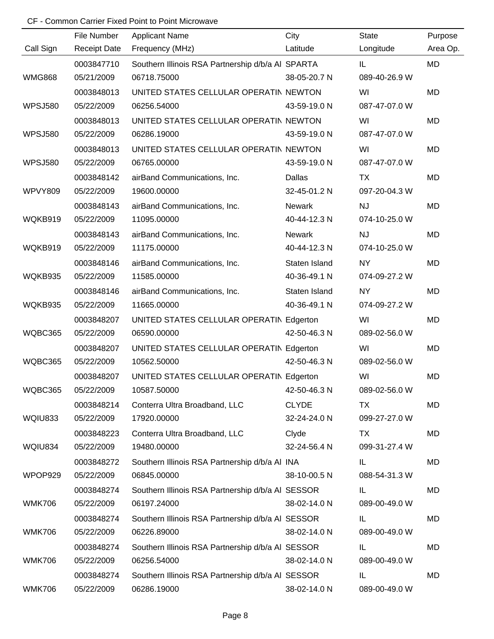|                | File Number         | <b>Applicant Name</b>                             | City          | <b>State</b>  | Purpose   |
|----------------|---------------------|---------------------------------------------------|---------------|---------------|-----------|
| Call Sign      | <b>Receipt Date</b> | Frequency (MHz)                                   | Latitude      | Longitude     | Area Op.  |
|                | 0003847710          | Southern Illinois RSA Partnership d/b/a AI SPARTA |               | IL            | <b>MD</b> |
| <b>WMG868</b>  | 05/21/2009          | 06718.75000                                       | 38-05-20.7 N  | 089-40-26.9 W |           |
|                | 0003848013          | UNITED STATES CELLULAR OPERATIN NEWTON            |               | WI            | <b>MD</b> |
| <b>WPSJ580</b> | 05/22/2009          | 06256.54000                                       | 43-59-19.0 N  | 087-47-07.0 W |           |
|                | 0003848013          | UNITED STATES CELLULAR OPERATIN NEWTON            |               | WI            | MD        |
| <b>WPSJ580</b> | 05/22/2009          | 06286.19000                                       | 43-59-19.0 N  | 087-47-07.0 W |           |
|                | 0003848013          | UNITED STATES CELLULAR OPERATIN NEWTON            |               | WI            | MD        |
| <b>WPSJ580</b> | 05/22/2009          | 06765.00000                                       | 43-59-19.0 N  | 087-47-07.0 W |           |
|                | 0003848142          | airBand Communications, Inc.                      | Dallas        | TX            | MD        |
| <b>WPVY809</b> | 05/22/2009          | 19600.00000                                       | 32-45-01.2 N  | 097-20-04.3 W |           |
|                | 0003848143          | airBand Communications, Inc.                      | Newark        | <b>NJ</b>     | MD        |
| WQKB919        | 05/22/2009          | 11095.00000                                       | 40-44-12.3 N  | 074-10-25.0 W |           |
|                | 0003848143          | airBand Communications, Inc.                      | Newark        | <b>NJ</b>     | MD        |
| WQKB919        | 05/22/2009          | 11175.00000                                       | 40-44-12.3 N  | 074-10-25.0 W |           |
|                | 0003848146          | airBand Communications, Inc.                      | Staten Island | <b>NY</b>     | MD        |
| WQKB935        | 05/22/2009          | 11585.00000                                       | 40-36-49.1 N  | 074-09-27.2 W |           |
|                | 0003848146          | airBand Communications, Inc.                      | Staten Island | <b>NY</b>     | MD        |
| WQKB935        | 05/22/2009          | 11665.00000                                       | 40-36-49.1 N  | 074-09-27.2 W |           |
|                | 0003848207          | UNITED STATES CELLULAR OPERATIN Edgerton          |               | WI            | MD        |
| WQBC365        | 05/22/2009          | 06590.00000                                       | 42-50-46.3 N  | 089-02-56.0 W |           |
|                | 0003848207          | UNITED STATES CELLULAR OPERATIN Edgerton          |               | WI            | MD        |
| WQBC365        | 05/22/2009          | 10562.50000                                       | 42-50-46.3 N  | 089-02-56.0 W |           |
|                | 0003848207          | UNITED STATES CELLULAR OPERATIN Edgerton          |               | WI            | MD        |
| WQBC365        | 05/22/2009          | 10587.50000                                       | 42-50-46.3 N  | 089-02-56.0 W |           |
|                | 0003848214          | Conterra Ultra Broadband, LLC                     | <b>CLYDE</b>  | TX            | MD        |
| WQIU833        | 05/22/2009          | 17920.00000                                       | 32-24-24.0 N  | 099-27-27.0 W |           |
|                | 0003848223          | Conterra Ultra Broadband, LLC                     | Clyde         | TX            | MD        |
| WQIU834        | 05/22/2009          | 19480.00000                                       | 32-24-56.4 N  | 099-31-27.4 W |           |
|                | 0003848272          | Southern Illinois RSA Partnership d/b/a AI INA    |               | IL            | MD        |
| WPOP929        | 05/22/2009          | 06845.00000                                       | 38-10-00.5 N  | 088-54-31.3 W |           |
|                | 0003848274          | Southern Illinois RSA Partnership d/b/a AI SESSOR |               | IL            | MD        |
| <b>WMK706</b>  | 05/22/2009          | 06197.24000                                       | 38-02-14.0 N  | 089-00-49.0 W |           |
|                | 0003848274          | Southern Illinois RSA Partnership d/b/a AI SESSOR |               | IL            | MD        |
| <b>WMK706</b>  | 05/22/2009          | 06226.89000                                       | 38-02-14.0 N  | 089-00-49.0 W |           |
|                | 0003848274          | Southern Illinois RSA Partnership d/b/a AI SESSOR |               | IL            | MD        |
| <b>WMK706</b>  | 05/22/2009          | 06256.54000                                       | 38-02-14.0 N  | 089-00-49.0 W |           |
|                | 0003848274          | Southern Illinois RSA Partnership d/b/a AI SESSOR |               | IL            | MD        |
| <b>WMK706</b>  | 05/22/2009          | 06286.19000                                       | 38-02-14.0 N  | 089-00-49.0 W |           |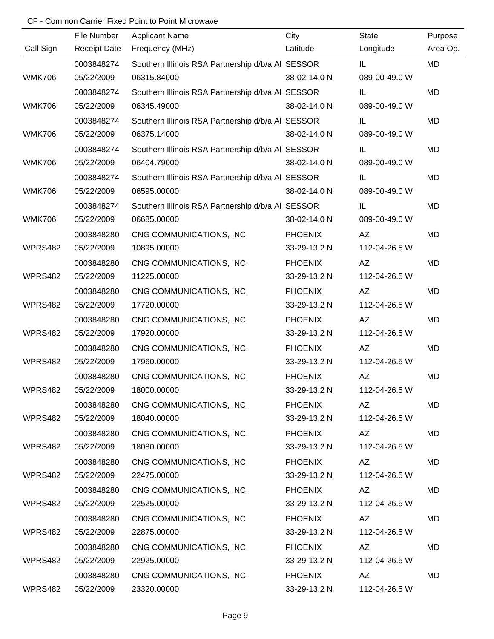|               | File Number         | <b>Applicant Name</b>                             | City           | <b>State</b>  | Purpose   |
|---------------|---------------------|---------------------------------------------------|----------------|---------------|-----------|
| Call Sign     | <b>Receipt Date</b> | Frequency (MHz)                                   | Latitude       | Longitude     | Area Op.  |
|               | 0003848274          | Southern Illinois RSA Partnership d/b/a AI SESSOR |                | IL            | MD        |
| <b>WMK706</b> | 05/22/2009          | 06315.84000                                       | 38-02-14.0 N   | 089-00-49.0 W |           |
|               | 0003848274          | Southern Illinois RSA Partnership d/b/a AI SESSOR |                | IL            | <b>MD</b> |
| <b>WMK706</b> | 05/22/2009          | 06345.49000                                       | 38-02-14.0 N   | 089-00-49.0 W |           |
|               | 0003848274          | Southern Illinois RSA Partnership d/b/a AI SESSOR |                | IL            | MD        |
| <b>WMK706</b> | 05/22/2009          | 06375.14000                                       | 38-02-14.0 N   | 089-00-49.0 W |           |
|               | 0003848274          | Southern Illinois RSA Partnership d/b/a AI SESSOR |                | IL            | MD        |
| <b>WMK706</b> | 05/22/2009          | 06404.79000                                       | 38-02-14.0 N   | 089-00-49.0 W |           |
|               | 0003848274          | Southern Illinois RSA Partnership d/b/a AI SESSOR |                | IL            | MD        |
| <b>WMK706</b> | 05/22/2009          | 06595.00000                                       | 38-02-14.0 N   | 089-00-49.0 W |           |
|               | 0003848274          | Southern Illinois RSA Partnership d/b/a AI SESSOR |                | IL            | MD        |
| <b>WMK706</b> | 05/22/2009          | 06685.00000                                       | 38-02-14.0 N   | 089-00-49.0 W |           |
|               | 0003848280          | CNG COMMUNICATIONS, INC.                          | <b>PHOENIX</b> | AZ            | MD        |
| WPRS482       | 05/22/2009          | 10895.00000                                       | 33-29-13.2 N   | 112-04-26.5 W |           |
|               | 0003848280          | CNG COMMUNICATIONS, INC.                          | <b>PHOENIX</b> | AZ            | MD        |
| WPRS482       | 05/22/2009          | 11225.00000                                       | 33-29-13.2 N   | 112-04-26.5 W |           |
|               | 0003848280          | CNG COMMUNICATIONS, INC.                          | <b>PHOENIX</b> | AZ            | MD        |
| WPRS482       | 05/22/2009          | 17720.00000                                       | 33-29-13.2 N   | 112-04-26.5 W |           |
|               | 0003848280          | CNG COMMUNICATIONS, INC.                          | <b>PHOENIX</b> | AZ            | MD        |
| WPRS482       | 05/22/2009          | 17920.00000                                       | 33-29-13.2 N   | 112-04-26.5 W |           |
|               | 0003848280          | CNG COMMUNICATIONS, INC.                          | <b>PHOENIX</b> | AZ            | MD        |
| WPRS482       | 05/22/2009          | 17960.00000                                       | 33-29-13.2 N   | 112-04-26.5 W |           |
|               | 0003848280          | CNG COMMUNICATIONS, INC.                          | <b>PHOENIX</b> | <b>AZ</b>     | MD        |
| WPRS482       | 05/22/2009          | 18000.00000                                       | 33-29-13.2 N   | 112-04-26.5 W |           |
|               | 0003848280          | CNG COMMUNICATIONS, INC.                          | <b>PHOENIX</b> | AZ            | MD        |
| WPRS482       | 05/22/2009          | 18040.00000                                       | 33-29-13.2 N   | 112-04-26.5 W |           |
|               | 0003848280          | CNG COMMUNICATIONS, INC.                          | <b>PHOENIX</b> | AZ            | MD        |
| WPRS482       | 05/22/2009          | 18080.00000                                       | 33-29-13.2 N   | 112-04-26.5 W |           |
|               | 0003848280          | CNG COMMUNICATIONS, INC.                          | <b>PHOENIX</b> | AZ            | MD        |
| WPRS482       | 05/22/2009          | 22475.00000                                       | 33-29-13.2 N   | 112-04-26.5 W |           |
|               | 0003848280          | CNG COMMUNICATIONS, INC.                          | <b>PHOENIX</b> | AZ            | MD        |
| WPRS482       | 05/22/2009          | 22525.00000                                       | 33-29-13.2 N   | 112-04-26.5 W |           |
|               | 0003848280          | CNG COMMUNICATIONS, INC.                          | <b>PHOENIX</b> | AZ            | MD        |
| WPRS482       | 05/22/2009          | 22875.00000                                       | 33-29-13.2 N   | 112-04-26.5 W |           |
|               | 0003848280          | CNG COMMUNICATIONS, INC.                          | <b>PHOENIX</b> | AZ            | MD        |
| WPRS482       | 05/22/2009          | 22925.00000                                       | 33-29-13.2 N   | 112-04-26.5 W |           |
|               | 0003848280          | CNG COMMUNICATIONS, INC.                          | <b>PHOENIX</b> | AZ            | MD        |
| WPRS482       | 05/22/2009          | 23320.00000                                       | 33-29-13.2 N   | 112-04-26.5 W |           |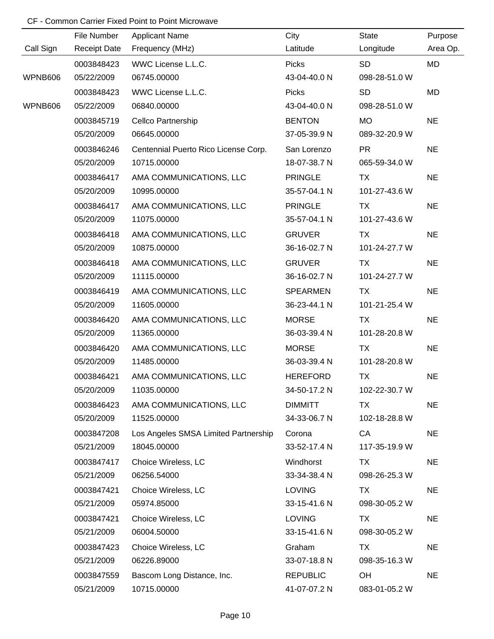|           | File Number         | <b>Applicant Name</b>                | City            | <b>State</b>  | Purpose   |
|-----------|---------------------|--------------------------------------|-----------------|---------------|-----------|
| Call Sign | <b>Receipt Date</b> | Frequency (MHz)                      | Latitude        | Longitude     | Area Op.  |
|           | 0003848423          | WWC License L.L.C.                   | <b>Picks</b>    | SD            | <b>MD</b> |
| WPNB606   | 05/22/2009          | 06745.00000                          | 43-04-40.0 N    | 098-28-51.0 W |           |
|           | 0003848423          | WWC License L.L.C.                   | <b>Picks</b>    | <b>SD</b>     | <b>MD</b> |
| WPNB606   | 05/22/2009          | 06840.00000                          | 43-04-40.0 N    | 098-28-51.0 W |           |
|           | 0003845719          | <b>Cellco Partnership</b>            | <b>BENTON</b>   | <b>MO</b>     | <b>NE</b> |
|           | 05/20/2009          | 06645.00000                          | 37-05-39.9 N    | 089-32-20.9 W |           |
|           | 0003846246          | Centennial Puerto Rico License Corp. | San Lorenzo     | <b>PR</b>     | <b>NE</b> |
|           | 05/20/2009          | 10715.00000                          | 18-07-38.7 N    | 065-59-34.0 W |           |
|           | 0003846417          | AMA COMMUNICATIONS, LLC              | <b>PRINGLE</b>  | <b>TX</b>     | <b>NE</b> |
|           | 05/20/2009          | 10995.00000                          | 35-57-04.1 N    | 101-27-43.6 W |           |
|           | 0003846417          | AMA COMMUNICATIONS, LLC              | <b>PRINGLE</b>  | <b>TX</b>     | <b>NE</b> |
|           | 05/20/2009          | 11075.00000                          | 35-57-04.1 N    | 101-27-43.6 W |           |
|           | 0003846418          | AMA COMMUNICATIONS, LLC              | <b>GRUVER</b>   | TX            | <b>NE</b> |
|           | 05/20/2009          | 10875.00000                          | 36-16-02.7 N    | 101-24-27.7 W |           |
|           | 0003846418          | AMA COMMUNICATIONS, LLC              | <b>GRUVER</b>   | <b>TX</b>     | <b>NE</b> |
|           | 05/20/2009          | 11115.00000                          | 36-16-02.7 N    | 101-24-27.7 W |           |
|           | 0003846419          | AMA COMMUNICATIONS, LLC              | <b>SPEARMEN</b> | <b>TX</b>     | <b>NE</b> |
|           | 05/20/2009          | 11605.00000                          | 36-23-44.1 N    | 101-21-25.4 W |           |
|           | 0003846420          | AMA COMMUNICATIONS, LLC              | <b>MORSE</b>    | <b>TX</b>     | <b>NE</b> |
|           | 05/20/2009          | 11365.00000                          | 36-03-39.4 N    | 101-28-20.8 W |           |
|           | 0003846420          | AMA COMMUNICATIONS, LLC              | <b>MORSE</b>    | <b>TX</b>     | <b>NE</b> |
|           | 05/20/2009          | 11485.00000                          | 36-03-39.4 N    | 101-28-20.8 W |           |
|           | 0003846421          | AMA COMMUNICATIONS, LLC              | <b>HEREFORD</b> | <b>TX</b>     | <b>NE</b> |
|           | 05/20/2009          | 11035.00000                          | 34-50-17.2 N    | 102-22-30.7 W |           |
|           | 0003846423          | AMA COMMUNICATIONS, LLC              | <b>DIMMITT</b>  | TX            | <b>NE</b> |
|           | 05/20/2009          | 11525.00000                          | 34-33-06.7 N    | 102-18-28.8 W |           |
|           | 0003847208          | Los Angeles SMSA Limited Partnership | Corona          | CA            | <b>NE</b> |
|           | 05/21/2009          | 18045.00000                          | 33-52-17.4 N    | 117-35-19.9 W |           |
|           | 0003847417          | Choice Wireless, LC                  | Windhorst       | <b>TX</b>     | <b>NE</b> |
|           | 05/21/2009          | 06256.54000                          | 33-34-38.4 N    | 098-26-25.3 W |           |
|           | 0003847421          | Choice Wireless, LC                  | <b>LOVING</b>   | TX            | <b>NE</b> |
|           | 05/21/2009          | 05974.85000                          | 33-15-41.6 N    | 098-30-05.2 W |           |
|           | 0003847421          | Choice Wireless, LC                  | <b>LOVING</b>   | <b>TX</b>     | <b>NE</b> |
|           | 05/21/2009          | 06004.50000                          | 33-15-41.6 N    | 098-30-05.2 W |           |
|           | 0003847423          | Choice Wireless, LC                  | Graham          | TX            | <b>NE</b> |
|           | 05/21/2009          | 06226.89000                          | 33-07-18.8 N    | 098-35-16.3 W |           |
|           | 0003847559          | Bascom Long Distance, Inc.           | <b>REPUBLIC</b> | OH            | <b>NE</b> |
|           | 05/21/2009          | 10715.00000                          | 41-07-07.2 N    | 083-01-05.2 W |           |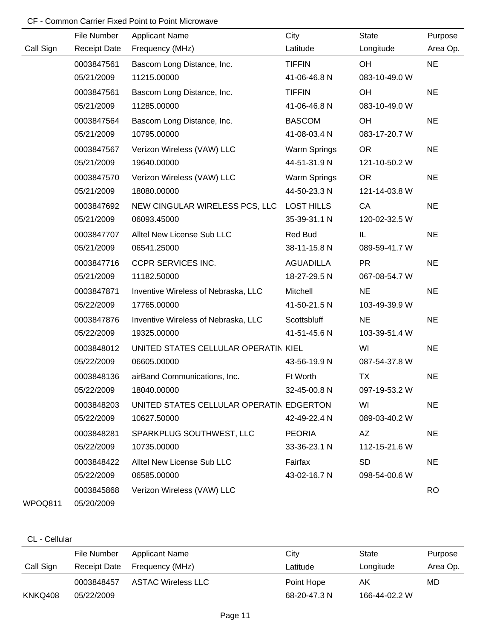|           | File Number         | <b>Applicant Name</b>                    | City              | <b>State</b>  | Purpose   |
|-----------|---------------------|------------------------------------------|-------------------|---------------|-----------|
| Call Sign | <b>Receipt Date</b> | Frequency (MHz)                          | Latitude          | Longitude     | Area Op.  |
|           | 0003847561          | Bascom Long Distance, Inc.               | <b>TIFFIN</b>     | OH            | <b>NE</b> |
|           | 05/21/2009          | 11215.00000                              | 41-06-46.8 N      | 083-10-49.0 W |           |
|           | 0003847561          | Bascom Long Distance, Inc.               | <b>TIFFIN</b>     | OH            | <b>NE</b> |
|           | 05/21/2009          | 11285.00000                              | 41-06-46.8 N      | 083-10-49.0 W |           |
|           | 0003847564          | Bascom Long Distance, Inc.               | <b>BASCOM</b>     | OH            | <b>NE</b> |
|           | 05/21/2009          | 10795.00000                              | 41-08-03.4 N      | 083-17-20.7 W |           |
|           | 0003847567          | Verizon Wireless (VAW) LLC               | Warm Springs      | <b>OR</b>     | <b>NE</b> |
|           | 05/21/2009          | 19640.00000                              | 44-51-31.9 N      | 121-10-50.2 W |           |
|           | 0003847570          | Verizon Wireless (VAW) LLC               | Warm Springs      | <b>OR</b>     | <b>NE</b> |
|           | 05/21/2009          | 18080.00000                              | 44-50-23.3 N      | 121-14-03.8 W |           |
|           | 0003847692          | NEW CINGULAR WIRELESS PCS, LLC           | <b>LOST HILLS</b> | CA            | <b>NE</b> |
|           | 05/21/2009          | 06093.45000                              | 35-39-31.1 N      | 120-02-32.5 W |           |
|           | 0003847707          | Alltel New License Sub LLC               | Red Bud           | IL.           | <b>NE</b> |
|           | 05/21/2009          | 06541.25000                              | 38-11-15.8 N      | 089-59-41.7 W |           |
|           | 0003847716          | <b>CCPR SERVICES INC.</b>                | <b>AGUADILLA</b>  | <b>PR</b>     | <b>NE</b> |
|           | 05/21/2009          | 11182.50000                              | 18-27-29.5 N      | 067-08-54.7 W |           |
|           | 0003847871          | Inventive Wireless of Nebraska, LLC      | Mitchell          | <b>NE</b>     | <b>NE</b> |
|           | 05/22/2009          | 17765.00000                              | 41-50-21.5 N      | 103-49-39.9 W |           |
|           | 0003847876          | Inventive Wireless of Nebraska, LLC      | Scottsbluff       | <b>NE</b>     | <b>NE</b> |
|           | 05/22/2009          | 19325.00000                              | 41-51-45.6 N      | 103-39-51.4 W |           |
|           | 0003848012          | UNITED STATES CELLULAR OPERATIN KIEL     |                   | WI            | <b>NE</b> |
|           | 05/22/2009          | 06605.00000                              | 43-56-19.9 N      | 087-54-37.8 W |           |
|           | 0003848136          | airBand Communications, Inc.             | Ft Worth          | <b>TX</b>     | <b>NE</b> |
|           | 05/22/2009          | 18040.00000                              | 32-45-00.8 N      | 097-19-53.2 W |           |
|           | 0003848203          | UNITED STATES CELLULAR OPERATIN EDGERTON |                   | WI            | <b>NE</b> |
|           | 05/22/2009          | 10627.50000                              | 42-49-22.4 N      | 089-03-40.2 W |           |
|           | 0003848281          | SPARKPLUG SOUTHWEST, LLC                 | <b>PEORIA</b>     | AZ            | <b>NE</b> |
|           | 05/22/2009          | 10735.00000                              | 33-36-23.1 N      | 112-15-21.6 W |           |
|           | 0003848422          | Alltel New License Sub LLC               | Fairfax           | <b>SD</b>     | <b>NE</b> |
|           | 05/22/2009          | 06585.00000                              | 43-02-16.7 N      | 098-54-00.6 W |           |
|           | 0003845868          | Verizon Wireless (VAW) LLC               |                   |               | <b>RO</b> |
| WPOQ811   | 05/20/2009          |                                          |                   |               |           |

#### CL - Cellular

|           | File Number  | Applicant Name            | City         | State         | Purpose  |
|-----------|--------------|---------------------------|--------------|---------------|----------|
| Call Sign | Receipt Date | Frequency (MHz)           | Latitude     | Longitude     | Area Op. |
|           | 0003848457   | <b>ASTAC Wireless LLC</b> | Point Hope   | AK            | MD       |
| KNKQ408   | 05/22/2009   |                           | 68-20-47.3 N | 166-44-02.2 W |          |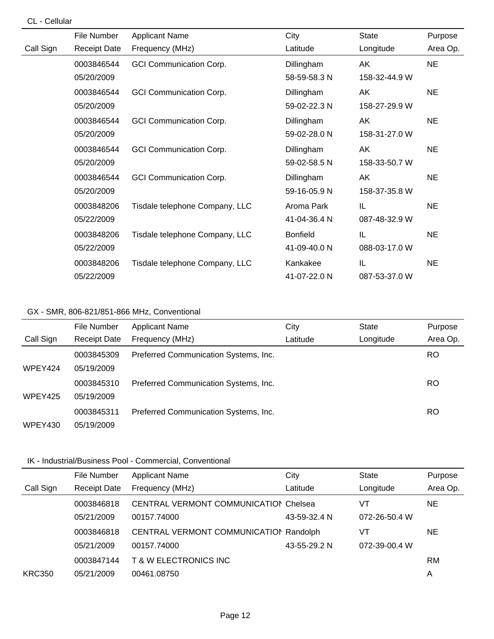#### CL - Cellular

|           | File Number         | <b>Applicant Name</b>          | City            | <b>State</b>  | Purpose   |
|-----------|---------------------|--------------------------------|-----------------|---------------|-----------|
| Call Sign | <b>Receipt Date</b> | Frequency (MHz)                | Latitude        | Longitude     | Area Op.  |
|           | 0003846544          | <b>GCI Communication Corp.</b> | Dillingham      | AK            | <b>NE</b> |
|           | 05/20/2009          |                                | 58-59-58.3 N    | 158-32-44.9 W |           |
|           | 0003846544          | <b>GCI Communication Corp.</b> | Dillingham      | AK            | <b>NE</b> |
|           | 05/20/2009          |                                | 59-02-22.3 N    | 158-27-29.9 W |           |
|           | 0003846544          | <b>GCI Communication Corp.</b> | Dillingham      | AK            | <b>NE</b> |
|           | 05/20/2009          |                                | 59-02-28.0 N    | 158-31-27.0 W |           |
|           | 0003846544          | <b>GCI Communication Corp.</b> | Dillingham      | AK            | <b>NE</b> |
|           | 05/20/2009          |                                | 59-02-58.5 N    | 158-33-50.7 W |           |
|           | 0003846544          | <b>GCI Communication Corp.</b> | Dillingham      | AK            | <b>NE</b> |
|           | 05/20/2009          |                                | 59-16-05.9 N    | 158-37-35.8 W |           |
|           | 0003848206          | Tisdale telephone Company, LLC | Aroma Park      | IL            | <b>NE</b> |
|           | 05/22/2009          |                                | 41-04-36.4 N    | 087-48-32.9 W |           |
|           | 0003848206          | Tisdale telephone Company, LLC | <b>Bonfield</b> | IL            | <b>NE</b> |
|           | 05/22/2009          |                                | 41-09-40.0 N    | 088-03-17.0 W |           |
|           | 0003848206          | Tisdale telephone Company, LLC | Kankakee        | IL            | <b>NE</b> |
|           | 05/22/2009          |                                | 41-07-22.0 N    | 087-53-37.0 W |           |

### GX - SMR, 806-821/851-866 MHz, Conventional

|           | File Number         | <b>Applicant Name</b>                 | City     | <b>State</b> | Purpose  |
|-----------|---------------------|---------------------------------------|----------|--------------|----------|
| Call Sign | <b>Receipt Date</b> | Frequency (MHz)                       | Latitude | Longitude    | Area Op. |
|           | 0003845309          | Preferred Communication Systems, Inc. |          |              | RO       |
| WPEY424   | 05/19/2009          |                                       |          |              |          |
|           | 0003845310          | Preferred Communication Systems, Inc. |          |              | RO       |
| WPEY425   | 05/19/2009          |                                       |          |              |          |
|           | 0003845311          | Preferred Communication Systems, Inc. |          |              | RO       |
| WPEY430   | 05/19/2009          |                                       |          |              |          |

|               | File Number         | <b>Applicant Name</b>                        | City         | State         | Purpose   |
|---------------|---------------------|----------------------------------------------|--------------|---------------|-----------|
| Call Sign     | <b>Receipt Date</b> | Frequency (MHz)                              | Latitude     | Longitude     | Area Op.  |
|               | 0003846818          | <b>CENTRAL VERMONT COMMUNICATION Chelsea</b> |              | VT            | <b>NE</b> |
|               | 05/21/2009          | 00157.74000                                  | 43-59-32.4 N | 072-26-50.4 W |           |
|               | 0003846818          | CENTRAL VERMONT COMMUNICATION Randolph       |              | VT            | NE.       |
|               | 05/21/2009          | 00157.74000                                  | 43-55-29.2 N | 072-39-00.4 W |           |
|               | 0003847144          | <b>T &amp; W ELECTRONICS INC</b>             |              |               | <b>RM</b> |
| <b>KRC350</b> | 05/21/2009          | 00461.08750                                  |              |               | A         |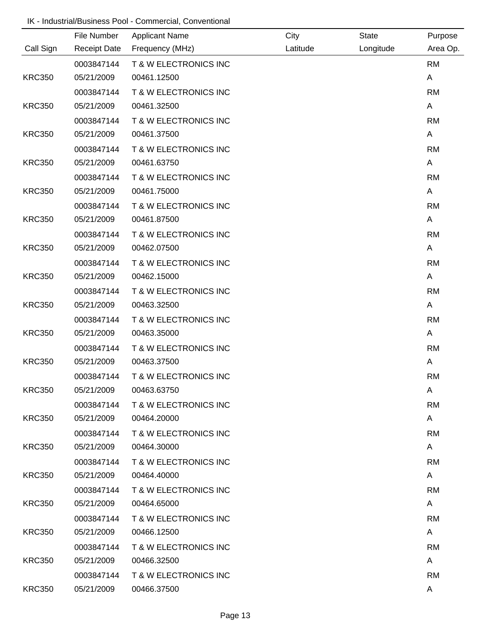|               | File Number         | <b>Applicant Name</b>            | City     | <b>State</b> | Purpose      |
|---------------|---------------------|----------------------------------|----------|--------------|--------------|
| Call Sign     | <b>Receipt Date</b> | Frequency (MHz)                  | Latitude | Longitude    | Area Op.     |
|               | 0003847144          | <b>T &amp; W ELECTRONICS INC</b> |          |              | <b>RM</b>    |
| <b>KRC350</b> | 05/21/2009          | 00461.12500                      |          |              | Α            |
|               | 0003847144          | T & W ELECTRONICS INC            |          |              | <b>RM</b>    |
| <b>KRC350</b> | 05/21/2009          | 00461.32500                      |          |              | A            |
|               | 0003847144          | T & W ELECTRONICS INC            |          |              | <b>RM</b>    |
| <b>KRC350</b> | 05/21/2009          | 00461.37500                      |          |              | A            |
|               | 0003847144          | T & W ELECTRONICS INC            |          |              | <b>RM</b>    |
| <b>KRC350</b> | 05/21/2009          | 00461.63750                      |          |              | Α            |
|               | 0003847144          | T & W ELECTRONICS INC            |          |              | <b>RM</b>    |
| <b>KRC350</b> | 05/21/2009          | 00461.75000                      |          |              | Α            |
|               | 0003847144          | T & W ELECTRONICS INC            |          |              | <b>RM</b>    |
| <b>KRC350</b> | 05/21/2009          | 00461.87500                      |          |              | A            |
|               | 0003847144          | <b>T &amp; W ELECTRONICS INC</b> |          |              | <b>RM</b>    |
| <b>KRC350</b> | 05/21/2009          | 00462.07500                      |          |              | A            |
|               | 0003847144          | T & W ELECTRONICS INC            |          |              | <b>RM</b>    |
| <b>KRC350</b> | 05/21/2009          | 00462.15000                      |          |              | Α            |
|               | 0003847144          | T & W ELECTRONICS INC            |          |              | <b>RM</b>    |
| <b>KRC350</b> | 05/21/2009          | 00463.32500                      |          |              | Α            |
|               | 0003847144          | T & W ELECTRONICS INC            |          |              | <b>RM</b>    |
| <b>KRC350</b> | 05/21/2009          | 00463.35000                      |          |              | A            |
|               | 0003847144          | <b>T &amp; W ELECTRONICS INC</b> |          |              | <b>RM</b>    |
| <b>KRC350</b> | 05/21/2009          | 00463.37500                      |          |              | Α            |
|               | 0003847144          | T & W ELECTRONICS INC            |          |              | <b>RM</b>    |
| <b>KRC350</b> | 05/21/2009          | 00463.63750                      |          |              | A            |
|               | 0003847144          | T & W ELECTRONICS INC            |          |              | <b>RM</b>    |
| <b>KRC350</b> | 05/21/2009          | 00464.20000                      |          |              | $\mathsf{A}$ |
|               | 0003847144          | <b>T &amp; W ELECTRONICS INC</b> |          |              | <b>RM</b>    |
| <b>KRC350</b> | 05/21/2009          | 00464.30000                      |          |              | $\mathsf{A}$ |
|               | 0003847144          | <b>T &amp; W ELECTRONICS INC</b> |          |              | RM           |
| <b>KRC350</b> | 05/21/2009          | 00464.40000                      |          |              | $\mathsf{A}$ |
|               | 0003847144          | <b>T &amp; W ELECTRONICS INC</b> |          |              | <b>RM</b>    |
| <b>KRC350</b> | 05/21/2009          | 00464.65000                      |          |              | $\mathsf{A}$ |
|               | 0003847144          | T & W ELECTRONICS INC            |          |              | <b>RM</b>    |
| <b>KRC350</b> | 05/21/2009          | 00466.12500                      |          |              | $\mathsf{A}$ |
|               | 0003847144          | <b>T &amp; W ELECTRONICS INC</b> |          |              | <b>RM</b>    |
| <b>KRC350</b> | 05/21/2009          | 00466.32500                      |          |              | A            |
|               | 0003847144          | <b>T &amp; W ELECTRONICS INC</b> |          |              | RM           |
| <b>KRC350</b> | 05/21/2009          | 00466.37500                      |          |              | A            |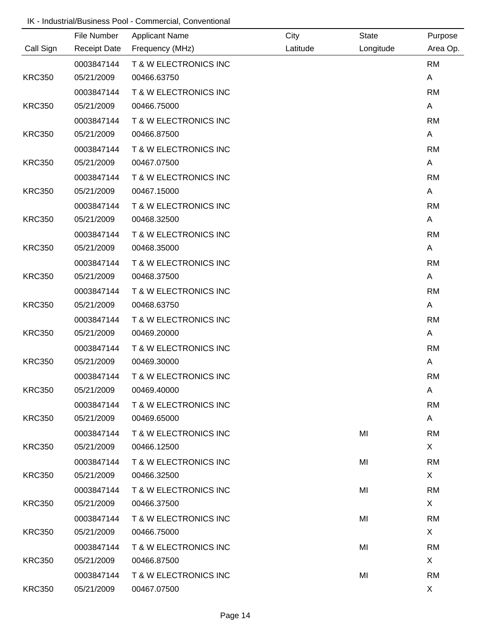|               | File Number         | <b>Applicant Name</b>            | City     | <b>State</b> | Purpose      |
|---------------|---------------------|----------------------------------|----------|--------------|--------------|
| Call Sign     | <b>Receipt Date</b> | Frequency (MHz)                  | Latitude | Longitude    | Area Op.     |
|               | 0003847144          | <b>T &amp; W ELECTRONICS INC</b> |          |              | <b>RM</b>    |
| <b>KRC350</b> | 05/21/2009          | 00466.63750                      |          |              | Α            |
|               | 0003847144          | T & W ELECTRONICS INC            |          |              | <b>RM</b>    |
| <b>KRC350</b> | 05/21/2009          | 00466.75000                      |          |              | A            |
|               | 0003847144          | T & W ELECTRONICS INC            |          |              | <b>RM</b>    |
| <b>KRC350</b> | 05/21/2009          | 00466.87500                      |          |              | A            |
|               | 0003847144          | T & W ELECTRONICS INC            |          |              | <b>RM</b>    |
| <b>KRC350</b> | 05/21/2009          | 00467.07500                      |          |              | Α            |
|               | 0003847144          | T & W ELECTRONICS INC            |          |              | <b>RM</b>    |
| <b>KRC350</b> | 05/21/2009          | 00467.15000                      |          |              | Α            |
|               | 0003847144          | T & W ELECTRONICS INC            |          |              | <b>RM</b>    |
| <b>KRC350</b> | 05/21/2009          | 00468.32500                      |          |              | A            |
|               | 0003847144          | <b>T &amp; W ELECTRONICS INC</b> |          |              | <b>RM</b>    |
| <b>KRC350</b> | 05/21/2009          | 00468.35000                      |          |              | A            |
|               | 0003847144          | T & W ELECTRONICS INC            |          |              | <b>RM</b>    |
| <b>KRC350</b> | 05/21/2009          | 00468.37500                      |          |              | Α            |
|               | 0003847144          | T & W ELECTRONICS INC            |          |              | <b>RM</b>    |
| <b>KRC350</b> | 05/21/2009          | 00468.63750                      |          |              | Α            |
|               | 0003847144          | T & W ELECTRONICS INC            |          |              | <b>RM</b>    |
| <b>KRC350</b> | 05/21/2009          | 00469.20000                      |          |              | A            |
|               | 0003847144          | T & W ELECTRONICS INC            |          |              | <b>RM</b>    |
| <b>KRC350</b> | 05/21/2009          | 00469.30000                      |          |              | Α            |
|               | 0003847144          | T & W ELECTRONICS INC            |          |              | <b>RM</b>    |
| <b>KRC350</b> | 05/21/2009          | 00469.40000                      |          |              | A            |
|               | 0003847144          | T & W ELECTRONICS INC            |          |              | <b>RM</b>    |
| <b>KRC350</b> | 05/21/2009          | 00469.65000                      |          |              | $\mathsf{A}$ |
|               | 0003847144          | T & W ELECTRONICS INC            |          | MI           | <b>RM</b>    |
| <b>KRC350</b> | 05/21/2009          | 00466.12500                      |          |              | $\mathsf{X}$ |
|               | 0003847144          | T & W ELECTRONICS INC            |          | MI           | <b>RM</b>    |
| <b>KRC350</b> | 05/21/2009          | 00466.32500                      |          |              | $\mathsf{X}$ |
|               | 0003847144          | T & W ELECTRONICS INC            |          | MI           | <b>RM</b>    |
| <b>KRC350</b> | 05/21/2009          | 00466.37500                      |          |              | X            |
|               | 0003847144          | <b>T &amp; W ELECTRONICS INC</b> |          | MI           | <b>RM</b>    |
| <b>KRC350</b> | 05/21/2009          | 00466.75000                      |          |              | $\mathsf{X}$ |
|               | 0003847144          | <b>T &amp; W ELECTRONICS INC</b> |          | MI           | <b>RM</b>    |
| <b>KRC350</b> | 05/21/2009          | 00466.87500                      |          |              | $\mathsf{X}$ |
|               | 0003847144          | <b>T &amp; W ELECTRONICS INC</b> |          | MI           | <b>RM</b>    |
| <b>KRC350</b> | 05/21/2009          | 00467.07500                      |          |              | X            |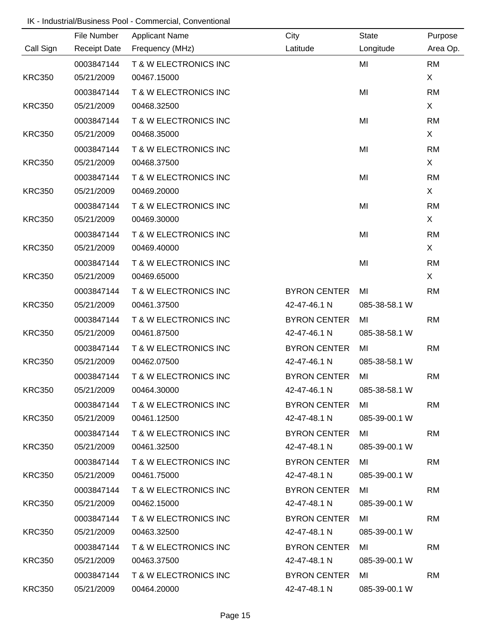|               | File Number         | <b>Applicant Name</b>            | City                | <b>State</b>  | Purpose   |
|---------------|---------------------|----------------------------------|---------------------|---------------|-----------|
| Call Sign     | <b>Receipt Date</b> | Frequency (MHz)                  | Latitude            | Longitude     | Area Op.  |
|               | 0003847144          | T & W ELECTRONICS INC            |                     | MI            | <b>RM</b> |
| <b>KRC350</b> | 05/21/2009          | 00467.15000                      |                     |               | X         |
|               | 0003847144          | <b>T &amp; W ELECTRONICS INC</b> |                     | MI            | <b>RM</b> |
| <b>KRC350</b> | 05/21/2009          | 00468.32500                      |                     |               | X         |
|               | 0003847144          | <b>T &amp; W ELECTRONICS INC</b> |                     | MI            | <b>RM</b> |
| <b>KRC350</b> | 05/21/2009          | 00468.35000                      |                     |               | X         |
|               | 0003847144          | <b>T &amp; W ELECTRONICS INC</b> |                     | MI            | <b>RM</b> |
| <b>KRC350</b> | 05/21/2009          | 00468.37500                      |                     |               | X         |
|               | 0003847144          | <b>T &amp; W ELECTRONICS INC</b> |                     | MI            | <b>RM</b> |
| <b>KRC350</b> | 05/21/2009          | 00469.20000                      |                     |               | X         |
|               | 0003847144          | <b>T &amp; W ELECTRONICS INC</b> |                     | MI            | <b>RM</b> |
| <b>KRC350</b> | 05/21/2009          | 00469.30000                      |                     |               | X         |
|               | 0003847144          | <b>T &amp; W ELECTRONICS INC</b> |                     | MI            | <b>RM</b> |
| <b>KRC350</b> | 05/21/2009          | 00469.40000                      |                     |               | X         |
|               | 0003847144          | <b>T &amp; W ELECTRONICS INC</b> |                     | MI            | <b>RM</b> |
| <b>KRC350</b> | 05/21/2009          | 00469.65000                      |                     |               | X         |
|               | 0003847144          | T & W ELECTRONICS INC            | <b>BYRON CENTER</b> | MI            | <b>RM</b> |
| <b>KRC350</b> | 05/21/2009          | 00461.37500                      | 42-47-46.1 N        | 085-38-58.1 W |           |
|               | 0003847144          | <b>T &amp; W ELECTRONICS INC</b> | <b>BYRON CENTER</b> | MI            | <b>RM</b> |
| <b>KRC350</b> | 05/21/2009          | 00461.87500                      | 42-47-46.1 N        | 085-38-58.1 W |           |
|               | 0003847144          | <b>T &amp; W ELECTRONICS INC</b> | <b>BYRON CENTER</b> | MI            | <b>RM</b> |
| <b>KRC350</b> | 05/21/2009          | 00462.07500                      | 42-47-46.1 N        | 085-38-58.1 W |           |
|               | 0003847144          | T & W ELECTRONICS INC            | <b>BYRON CENTER</b> | MI            | <b>RM</b> |
| <b>KRC350</b> | 05/21/2009          | 00464.30000                      | 42-47-46.1 N        | 085-38-58.1 W |           |
|               |                     | 0003847144 T&WELECTRONICS INC    | <b>BYRON CENTER</b> | MI            | <b>RM</b> |
| <b>KRC350</b> | 05/21/2009          | 00461.12500                      | 42-47-48.1 N        | 085-39-00.1 W |           |
|               | 0003847144          | T & W ELECTRONICS INC            | <b>BYRON CENTER</b> | MI            | <b>RM</b> |
| <b>KRC350</b> | 05/21/2009          | 00461.32500                      | 42-47-48.1 N        | 085-39-00.1 W |           |
|               | 0003847144          | <b>T &amp; W ELECTRONICS INC</b> | <b>BYRON CENTER</b> | MI            | <b>RM</b> |
| <b>KRC350</b> | 05/21/2009          | 00461.75000                      | 42-47-48.1 N        | 085-39-00.1 W |           |
|               | 0003847144          | T & W ELECTRONICS INC            | <b>BYRON CENTER</b> | MI            | <b>RM</b> |
| <b>KRC350</b> | 05/21/2009          | 00462.15000                      | 42-47-48.1 N        | 085-39-00.1 W |           |
|               | 0003847144          | T & W ELECTRONICS INC            | BYRON CENTER        | MI            | <b>RM</b> |
| <b>KRC350</b> | 05/21/2009          | 00463.32500                      | 42-47-48.1 N        | 085-39-00.1 W |           |
|               | 0003847144          | T & W ELECTRONICS INC            | <b>BYRON CENTER</b> | MI            | <b>RM</b> |
| <b>KRC350</b> | 05/21/2009          | 00463.37500                      | 42-47-48.1 N        | 085-39-00.1 W |           |
|               | 0003847144          | T & W ELECTRONICS INC            | <b>BYRON CENTER</b> | MI            | <b>RM</b> |
| <b>KRC350</b> | 05/21/2009          | 00464.20000                      | 42-47-48.1 N        | 085-39-00.1 W |           |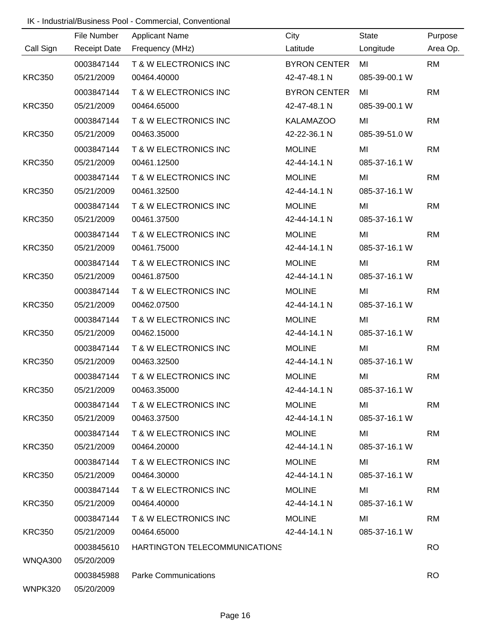|               | File Number | <b>Applicant Name</b>            | City                | State         | Purpose   |
|---------------|-------------|----------------------------------|---------------------|---------------|-----------|
| Call Sign     |             | Receipt Date Frequency (MHz)     | Latitude            | Longitude     | Area Op.  |
|               | 0003847144  | T & W ELECTRONICS INC            | <b>BYRON CENTER</b> | MI            | <b>RM</b> |
| <b>KRC350</b> | 05/21/2009  | 00464.40000                      | 42-47-48.1 N        | 085-39-00.1 W |           |
|               | 0003847144  | T & W ELECTRONICS INC            | <b>BYRON CENTER</b> | MI            | <b>RM</b> |
| <b>KRC350</b> | 05/21/2009  | 00464.65000                      | 42-47-48.1 N        | 085-39-00.1 W |           |
|               | 0003847144  | T & W ELECTRONICS INC            | <b>KALAMAZOO</b>    | MI            | <b>RM</b> |
| <b>KRC350</b> | 05/21/2009  | 00463.35000                      | 42-22-36.1 N        | 085-39-51.0 W |           |
|               | 0003847144  | T & W ELECTRONICS INC            | <b>MOLINE</b>       | MI            | <b>RM</b> |
| <b>KRC350</b> | 05/21/2009  | 00461.12500                      | 42-44-14.1 N        | 085-37-16.1 W |           |
|               | 0003847144  | T & W ELECTRONICS INC            | <b>MOLINE</b>       | MI            | <b>RM</b> |
| <b>KRC350</b> | 05/21/2009  | 00461.32500                      | 42-44-14.1 N        | 085-37-16.1 W |           |
|               | 0003847144  | <b>T &amp; W ELECTRONICS INC</b> | <b>MOLINE</b>       | MI            | <b>RM</b> |
| <b>KRC350</b> | 05/21/2009  | 00461.37500                      | 42-44-14.1 N        | 085-37-16.1 W |           |
|               | 0003847144  | T & W ELECTRONICS INC            | <b>MOLINE</b>       | MI            | <b>RM</b> |
| <b>KRC350</b> | 05/21/2009  | 00461.75000                      | 42-44-14.1 N        | 085-37-16.1 W |           |
|               | 0003847144  | T & W ELECTRONICS INC            | <b>MOLINE</b>       | MI            | <b>RM</b> |
| <b>KRC350</b> | 05/21/2009  | 00461.87500                      | 42-44-14.1 N        | 085-37-16.1 W |           |
|               | 0003847144  | T & W ELECTRONICS INC            | <b>MOLINE</b>       | MI            | <b>RM</b> |
| <b>KRC350</b> | 05/21/2009  | 00462.07500                      | 42-44-14.1 N        | 085-37-16.1 W |           |
|               | 0003847144  | T & W ELECTRONICS INC            | <b>MOLINE</b>       | MI            | <b>RM</b> |
| <b>KRC350</b> | 05/21/2009  | 00462.15000                      | 42-44-14.1 N        | 085-37-16.1 W |           |
|               | 0003847144  | <b>T &amp; W ELECTRONICS INC</b> | <b>MOLINE</b>       | MI            | <b>RM</b> |
| <b>KRC350</b> | 05/21/2009  | 00463.32500                      | 42-44-14.1 N        | 085-37-16.1 W |           |
|               | 0003847144  | T & W ELECTRONICS INC            | <b>MOLINE</b>       | MI            | <b>RM</b> |
| <b>KRC350</b> | 05/21/2009  | 00463.35000                      | 42-44-14.1 N        | 085-37-16.1 W |           |
|               | 0003847144  | T & W ELECTRONICS INC            | <b>MOLINE</b>       | MI            | <b>RM</b> |
| <b>KRC350</b> | 05/21/2009  | 00463.37500                      | 42-44-14.1 N        | 085-37-16.1 W |           |
|               | 0003847144  | <b>T &amp; W ELECTRONICS INC</b> | <b>MOLINE</b>       | MI            | <b>RM</b> |
| <b>KRC350</b> | 05/21/2009  | 00464.20000                      | 42-44-14.1 N        | 085-37-16.1 W |           |
|               | 0003847144  | <b>T &amp; W ELECTRONICS INC</b> | <b>MOLINE</b>       | MI            | <b>RM</b> |
| <b>KRC350</b> | 05/21/2009  | 00464.30000                      | 42-44-14.1 N        | 085-37-16.1 W |           |
|               | 0003847144  | T & W ELECTRONICS INC            | <b>MOLINE</b>       | MI            | <b>RM</b> |
| <b>KRC350</b> | 05/21/2009  | 00464.40000                      | 42-44-14.1 N        | 085-37-16.1 W |           |
|               | 0003847144  | T & W ELECTRONICS INC            | <b>MOLINE</b>       | MI            | <b>RM</b> |
| <b>KRC350</b> | 05/21/2009  | 00464.65000                      | 42-44-14.1 N        | 085-37-16.1 W |           |
|               | 0003845610  | HARTINGTON TELECOMMUNICATIONS    |                     |               | <b>RO</b> |
| WNQA300       | 05/20/2009  |                                  |                     |               |           |
|               | 0003845988  | <b>Parke Communications</b>      |                     |               | <b>RO</b> |
| WNPK320       | 05/20/2009  |                                  |                     |               |           |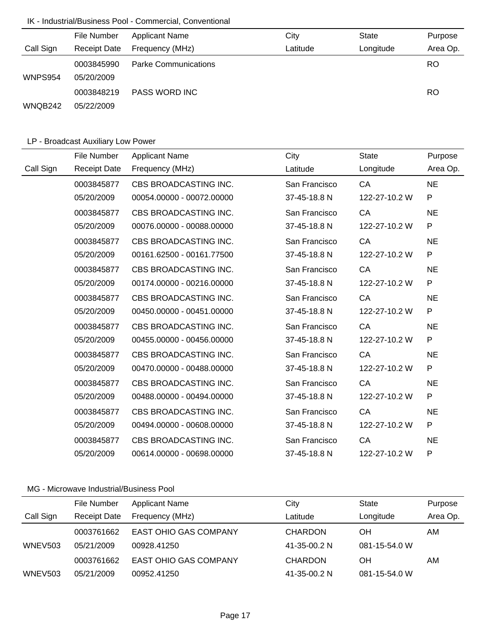|           | File Number         | <b>Applicant Name</b>       | City     | <b>State</b> | Purpose   |
|-----------|---------------------|-----------------------------|----------|--------------|-----------|
| Call Sign | <b>Receipt Date</b> | Frequency (MHz)             | Latitude | Longitude    | Area Op.  |
|           | 0003845990          | <b>Parke Communications</b> |          |              | <b>RO</b> |
| WNPS954   | 05/20/2009          |                             |          |              |           |
|           | 0003848219          | PASS WORD INC               |          |              | <b>RO</b> |
| WNQB242   | 05/22/2009          |                             |          |              |           |

# LP - Broadcast Auxiliary Low Power

|           | File Number         | <b>Applicant Name</b>     | City          | <b>State</b>  | Purpose      |
|-----------|---------------------|---------------------------|---------------|---------------|--------------|
| Call Sign | <b>Receipt Date</b> | Frequency (MHz)           | Latitude      | Longitude     | Area Op.     |
|           | 0003845877          | CBS BROADCASTING INC.     | San Francisco | <b>CA</b>     | <b>NE</b>    |
|           | 05/20/2009          | 00054.00000 - 00072.00000 | 37-45-18.8 N  | 122-27-10.2 W | P            |
|           | 0003845877          | CBS BROADCASTING INC.     | San Francisco | CA            | <b>NE</b>    |
|           | 05/20/2009          | 00076.00000 - 00088.00000 | 37-45-18.8 N  | 122-27-10.2 W | P            |
|           | 0003845877          | CBS BROADCASTING INC.     | San Francisco | CA            | <b>NE</b>    |
|           | 05/20/2009          | 00161.62500 - 00161.77500 | 37-45-18.8 N  | 122-27-10.2 W | P            |
|           | 0003845877          | CBS BROADCASTING INC.     | San Francisco | CA            | <b>NE</b>    |
|           | 05/20/2009          | 00174.00000 - 00216.00000 | 37-45-18.8 N  | 122-27-10.2 W | $\mathsf{P}$ |
|           | 0003845877          | CBS BROADCASTING INC.     | San Francisco | CA            | <b>NE</b>    |
|           | 05/20/2009          | 00450.00000 - 00451.00000 | 37-45-18.8 N  | 122-27-10.2 W | P            |
|           | 0003845877          | CBS BROADCASTING INC.     | San Francisco | CA            | <b>NE</b>    |
|           | 05/20/2009          | 00455.00000 - 00456.00000 | 37-45-18.8 N  | 122-27-10.2 W | P            |
|           | 0003845877          | CBS BROADCASTING INC.     | San Francisco | CA            | <b>NE</b>    |
|           | 05/20/2009          | 00470.00000 - 00488.00000 | 37-45-18.8 N  | 122-27-10.2 W | P            |
|           | 0003845877          | CBS BROADCASTING INC.     | San Francisco | CA            | <b>NE</b>    |
|           | 05/20/2009          | 00488.00000 - 00494.00000 | 37-45-18.8 N  | 122-27-10.2 W | P            |
|           | 0003845877          | CBS BROADCASTING INC.     | San Francisco | CA            | <b>NE</b>    |
|           | 05/20/2009          | 00494.00000 - 00608.00000 | 37-45-18.8 N  | 122-27-10.2 W | P            |
|           | 0003845877          | CBS BROADCASTING INC.     | San Francisco | CA            | <b>NE</b>    |
|           | 05/20/2009          | 00614.00000 - 00698.00000 | 37-45-18.8 N  | 122-27-10.2 W | P            |

|           | File Number         | <b>Applicant Name</b>        | City           | <b>State</b>  | Purpose  |
|-----------|---------------------|------------------------------|----------------|---------------|----------|
| Call Sign | <b>Receipt Date</b> | Frequency (MHz)              | Latitude       | Longitude     | Area Op. |
|           | 0003761662          | <b>EAST OHIO GAS COMPANY</b> | <b>CHARDON</b> | OН            | AM       |
| WNEV503   | 05/21/2009          | 00928.41250                  | 41-35-00.2 N   | 081-15-54.0 W |          |
|           | 0003761662          | <b>EAST OHIO GAS COMPANY</b> | <b>CHARDON</b> | OΗ            | AM       |
| WNEV503   | 05/21/2009          | 00952.41250                  | 41-35-00.2 N   | 081-15-54.0 W |          |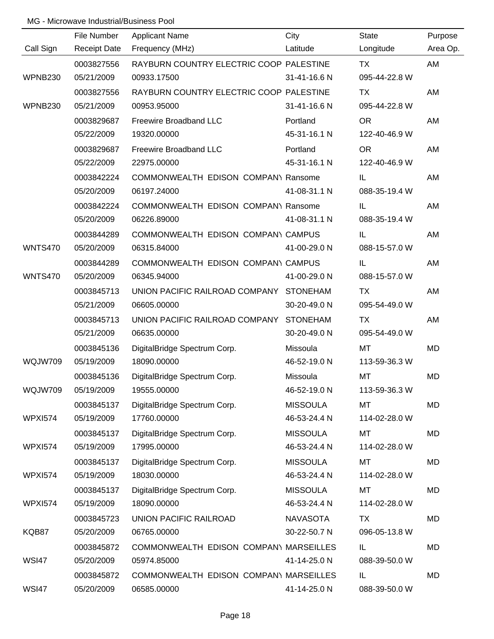|                | File Number         | <b>Applicant Name</b>                   | City            | <b>State</b>  | Purpose  |
|----------------|---------------------|-----------------------------------------|-----------------|---------------|----------|
| Call Sign      | <b>Receipt Date</b> | Frequency (MHz)                         | Latitude        | Longitude     | Area Op. |
|                | 0003827556          | RAYBURN COUNTRY ELECTRIC COOP PALESTINE |                 | TX            | AM       |
| WPNB230        | 05/21/2009          | 00933.17500                             | 31-41-16.6 N    | 095-44-22.8 W |          |
|                | 0003827556          | RAYBURN COUNTRY ELECTRIC COOP PALESTINE |                 | TX            | AM       |
| WPNB230        | 05/21/2009          | 00953.95000                             | 31-41-16.6 N    | 095-44-22.8 W |          |
|                | 0003829687          | Freewire Broadband LLC                  | Portland        | <b>OR</b>     | AM       |
|                | 05/22/2009          | 19320.00000                             | 45-31-16.1 N    | 122-40-46.9 W |          |
|                | 0003829687          | Freewire Broadband LLC                  | Portland        | <b>OR</b>     | AM       |
|                | 05/22/2009          | 22975.00000                             | 45-31-16.1 N    | 122-40-46.9 W |          |
|                | 0003842224          | COMMONWEALTH EDISON COMPANY Ransome     |                 | IL.           | AM       |
|                | 05/20/2009          | 06197.24000                             | 41-08-31.1 N    | 088-35-19.4 W |          |
|                | 0003842224          | COMMONWEALTH EDISON COMPANY Ransome     |                 | IL.           | AM       |
|                | 05/20/2009          | 06226.89000                             | 41-08-31.1 N    | 088-35-19.4 W |          |
|                | 0003844289          | COMMONWEALTH EDISON COMPANY CAMPUS      |                 | IL            | AM       |
| <b>WNTS470</b> | 05/20/2009          | 06315.84000                             | 41-00-29.0 N    | 088-15-57.0 W |          |
|                | 0003844289          | COMMONWEALTH EDISON COMPANY CAMPUS      |                 | IL            | AM       |
| <b>WNTS470</b> | 05/20/2009          | 06345.94000                             | 41-00-29.0 N    | 088-15-57.0 W |          |
|                | 0003845713          | UNION PACIFIC RAILROAD COMPANY          | <b>STONEHAM</b> | TX            | AM       |
|                | 05/21/2009          | 06605.00000                             | 30-20-49.0 N    | 095-54-49.0 W |          |
|                | 0003845713          | UNION PACIFIC RAILROAD COMPANY          | <b>STONEHAM</b> | <b>TX</b>     | AM       |
|                | 05/21/2009          | 06635.00000                             | 30-20-49.0 N    | 095-54-49.0 W |          |
|                | 0003845136          | DigitalBridge Spectrum Corp.            | Missoula        | MT            | MD       |
| WQJW709        | 05/19/2009          | 18090.00000                             | 46-52-19.0 N    | 113-59-36.3 W |          |
|                | 0003845136          | DigitalBridge Spectrum Corp.            | Missoula        | MT            | MD       |
| WQJW709        | 05/19/2009          | 19555.00000                             | 46-52-19.0 N    | 113-59-36.3 W |          |
|                | 0003845137          | DigitalBridge Spectrum Corp.            | <b>MISSOULA</b> | <b>MT</b>     | MD       |
| <b>WPXI574</b> | 05/19/2009          | 17760.00000                             | 46-53-24.4 N    | 114-02-28.0 W |          |
|                | 0003845137          | DigitalBridge Spectrum Corp.            | <b>MISSOULA</b> | MT            | MD       |
| <b>WPXI574</b> | 05/19/2009          | 17995.00000                             | 46-53-24.4 N    | 114-02-28.0 W |          |
|                | 0003845137          | DigitalBridge Spectrum Corp.            | <b>MISSOULA</b> | <b>MT</b>     | MD       |
| <b>WPXI574</b> | 05/19/2009          | 18030.00000                             | 46-53-24.4 N    | 114-02-28.0 W |          |
|                | 0003845137          | DigitalBridge Spectrum Corp.            | <b>MISSOULA</b> | <b>MT</b>     | MD       |
| <b>WPXI574</b> | 05/19/2009          | 18090.00000                             | 46-53-24.4 N    | 114-02-28.0 W |          |
|                | 0003845723          | UNION PACIFIC RAILROAD                  | <b>NAVASOTA</b> | <b>TX</b>     | MD       |
| KQB87          | 05/20/2009          | 06765.00000                             | 30-22-50.7 N    | 096-05-13.8 W |          |
|                | 0003845872          | COMMONWEALTH EDISON COMPANY MARSEILLES  |                 | IL            | MD       |
| <b>WSI47</b>   | 05/20/2009          | 05974.85000                             | 41-14-25.0 N    | 088-39-50.0 W |          |
|                | 0003845872          | COMMONWEALTH EDISON COMPANY MARSEILLES  |                 | IL            | MD       |
| <b>WSI47</b>   | 05/20/2009          | 06585.00000                             | 41-14-25.0 N    | 088-39-50.0 W |          |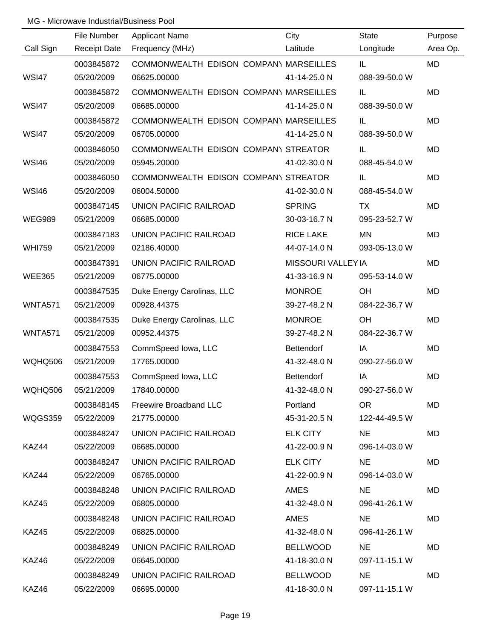|                | File Number         | <b>Applicant Name</b>                  | City               | <b>State</b>  | Purpose   |
|----------------|---------------------|----------------------------------------|--------------------|---------------|-----------|
| Call Sign      | <b>Receipt Date</b> | Frequency (MHz)                        | Latitude           | Longitude     | Area Op.  |
|                | 0003845872          | COMMONWEALTH EDISON COMPANY MARSEILLES |                    | IL            | <b>MD</b> |
| <b>WSI47</b>   | 05/20/2009          | 06625.00000                            | 41-14-25.0 N       | 088-39-50.0 W |           |
|                | 0003845872          | COMMONWEALTH EDISON COMPANY MARSEILLES |                    | IL            | MD        |
| <b>WSI47</b>   | 05/20/2009          | 06685.00000                            | 41-14-25.0 N       | 088-39-50.0 W |           |
|                | 0003845872          | COMMONWEALTH EDISON COMPANY MARSEILLES |                    | IL            | <b>MD</b> |
| <b>WSI47</b>   | 05/20/2009          | 06705.00000                            | 41-14-25.0 N       | 088-39-50.0 W |           |
|                | 0003846050          | COMMONWEALTH EDISON COMPANY STREATOR   |                    | IL            | <b>MD</b> |
| <b>WSI46</b>   | 05/20/2009          | 05945.20000                            | 41-02-30.0 N       | 088-45-54.0 W |           |
|                | 0003846050          | COMMONWEALTH EDISON COMPANY STREATOR   |                    | IL            | MD        |
| <b>WSI46</b>   | 05/20/2009          | 06004.50000                            | 41-02-30.0 N       | 088-45-54.0 W |           |
|                | 0003847145          | UNION PACIFIC RAILROAD                 | <b>SPRING</b>      | <b>TX</b>     | MD        |
| <b>WEG989</b>  | 05/21/2009          | 06685.00000                            | 30-03-16.7 N       | 095-23-52.7 W |           |
|                | 0003847183          | UNION PACIFIC RAILROAD                 | <b>RICE LAKE</b>   | <b>MN</b>     | <b>MD</b> |
| <b>WHI759</b>  | 05/21/2009          | 02186.40000                            | 44-07-14.0 N       | 093-05-13.0 W |           |
|                | 0003847391          | UNION PACIFIC RAILROAD                 | MISSOURI VALLEY IA |               | <b>MD</b> |
| <b>WEE365</b>  | 05/21/2009          | 06775.00000                            | 41-33-16.9 N       | 095-53-14.0 W |           |
|                | 0003847535          | Duke Energy Carolinas, LLC             | <b>MONROE</b>      | <b>OH</b>     | MD        |
| <b>WNTA571</b> | 05/21/2009          | 00928.44375                            | 39-27-48.2 N       | 084-22-36.7 W |           |
|                | 0003847535          | Duke Energy Carolinas, LLC             | <b>MONROE</b>      | OH            | <b>MD</b> |
| <b>WNTA571</b> | 05/21/2009          | 00952.44375                            | 39-27-48.2 N       | 084-22-36.7 W |           |
|                | 0003847553          | CommSpeed Iowa, LLC                    | Bettendorf         | IA            | MD        |
| WQHQ506        | 05/21/2009          | 17765.00000                            | 41-32-48.0 N       | 090-27-56.0 W |           |
|                | 0003847553          | CommSpeed Iowa, LLC                    | Bettendorf         | IA            | <b>MD</b> |
| <b>WQHQ506</b> | 05/21/2009          | 17840.00000                            | 41-32-48.0 N       | 090-27-56.0 W |           |
|                | 0003848145          | Freewire Broadband LLC                 | Portland           | OR .          | MD        |
| WQGS359        | 05/22/2009          | 21775.00000                            | 45-31-20.5 N       | 122-44-49.5 W |           |
|                | 0003848247          | UNION PACIFIC RAILROAD                 | <b>ELK CITY</b>    | NE.           | MD        |
| KAZ44          | 05/22/2009          | 06685.00000                            | 41-22-00.9 N       | 096-14-03.0 W |           |
|                | 0003848247          | UNION PACIFIC RAILROAD                 | <b>ELK CITY</b>    | <b>NE</b>     | MD        |
| KAZ44          | 05/22/2009          | 06765.00000                            | 41-22-00.9 N       | 096-14-03.0 W |           |
|                | 0003848248          | UNION PACIFIC RAILROAD                 | AMES               | NE            | MD        |
| KAZ45          | 05/22/2009          | 06805.00000                            | 41-32-48.0 N       | 096-41-26.1 W |           |
|                | 0003848248          | UNION PACIFIC RAILROAD                 | AMES               | NE.           | MD        |
| KAZ45          | 05/22/2009          | 06825.00000                            | 41-32-48.0 N       | 096-41-26.1 W |           |
|                | 0003848249          | UNION PACIFIC RAILROAD                 | <b>BELLWOOD</b>    | NE            | MD        |
| KAZ46          | 05/22/2009          | 06645.00000                            | 41-18-30.0 N       | 097-11-15.1 W |           |
|                | 0003848249          | UNION PACIFIC RAILROAD                 | <b>BELLWOOD</b>    | <b>NE</b>     | MD        |
| KAZ46          | 05/22/2009          | 06695.00000                            | 41-18-30.0 N       | 097-11-15.1 W |           |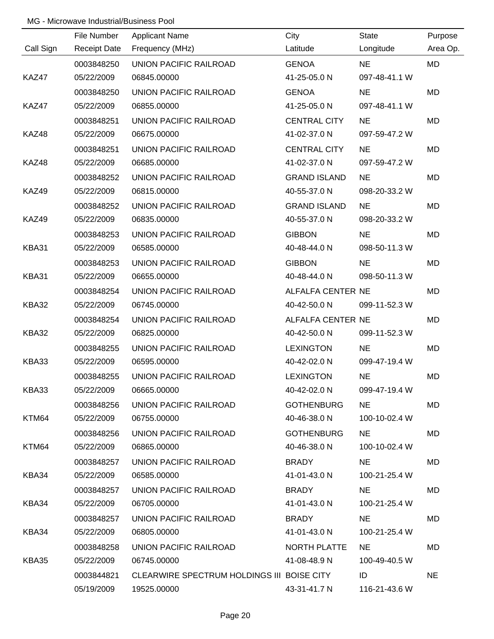|           | File Number         | <b>Applicant Name</b>                      | City                | <b>State</b>  | Purpose   |
|-----------|---------------------|--------------------------------------------|---------------------|---------------|-----------|
| Call Sign | <b>Receipt Date</b> | Frequency (MHz)                            | Latitude            | Longitude     | Area Op.  |
|           | 0003848250          | UNION PACIFIC RAILROAD                     | <b>GENOA</b>        | <b>NE</b>     | <b>MD</b> |
| KAZ47     | 05/22/2009          | 06845.00000                                | 41-25-05.0 N        | 097-48-41.1 W |           |
|           | 0003848250          | <b>UNION PACIFIC RAILROAD</b>              | <b>GENOA</b>        | <b>NE</b>     | <b>MD</b> |
| KAZ47     | 05/22/2009          | 06855.00000                                | 41-25-05.0 N        | 097-48-41.1 W |           |
|           | 0003848251          | UNION PACIFIC RAILROAD                     | <b>CENTRAL CITY</b> | <b>NE</b>     | MD        |
| KAZ48     | 05/22/2009          | 06675.00000                                | 41-02-37.0 N        | 097-59-47.2 W |           |
|           | 0003848251          | UNION PACIFIC RAILROAD                     | <b>CENTRAL CITY</b> | <b>NE</b>     | MD        |
| KAZ48     | 05/22/2009          | 06685.00000                                | 41-02-37.0 N        | 097-59-47.2 W |           |
|           | 0003848252          | UNION PACIFIC RAILROAD                     | <b>GRAND ISLAND</b> | <b>NE</b>     | MD        |
| KAZ49     | 05/22/2009          | 06815.00000                                | 40-55-37.0 N        | 098-20-33.2 W |           |
|           | 0003848252          | UNION PACIFIC RAILROAD                     | <b>GRAND ISLAND</b> | <b>NE</b>     | MD        |
| KAZ49     | 05/22/2009          | 06835.00000                                | 40-55-37.0 N        | 098-20-33.2 W |           |
|           | 0003848253          | UNION PACIFIC RAILROAD                     | <b>GIBBON</b>       | <b>NE</b>     | MD        |
| KBA31     | 05/22/2009          | 06585.00000                                | 40-48-44.0 N        | 098-50-11.3 W |           |
|           | 0003848253          | UNION PACIFIC RAILROAD                     | <b>GIBBON</b>       | <b>NE</b>     | MD        |
| KBA31     | 05/22/2009          | 06655.00000                                | 40-48-44.0 N        | 098-50-11.3 W |           |
|           | 0003848254          | UNION PACIFIC RAILROAD                     | ALFALFA CENTER NE   |               | MD        |
| KBA32     | 05/22/2009          | 06745.00000                                | 40-42-50.0 N        | 099-11-52.3 W |           |
|           | 0003848254          | UNION PACIFIC RAILROAD                     | ALFALFA CENTER NE   |               | MD        |
| KBA32     | 05/22/2009          | 06825.00000                                | 40-42-50.0 N        | 099-11-52.3 W |           |
|           | 0003848255          | UNION PACIFIC RAILROAD                     | <b>LEXINGTON</b>    | <b>NE</b>     | MD        |
| KBA33     | 05/22/2009          | 06595.00000                                | 40-42-02.0 N        | 099-47-19.4 W |           |
|           | 0003848255          | UNION PACIFIC RAILROAD                     | <b>LEXINGTON</b>    | <b>NE</b>     | MD        |
| KBA33     | 05/22/2009          | 06665.00000                                | 40-42-02.0 N        | 099-47-19.4 W |           |
|           | 0003848256          | UNION PACIFIC RAILROAD                     | <b>GOTHENBURG</b>   | <b>NE</b>     | MD        |
| KTM64     | 05/22/2009          | 06755.00000                                | 40-46-38.0 N        | 100-10-02.4 W |           |
|           | 0003848256          | UNION PACIFIC RAILROAD                     | <b>GOTHENBURG</b>   | NE.           | MD        |
| KTM64     | 05/22/2009          | 06865.00000                                | 40-46-38.0 N        | 100-10-02.4 W |           |
|           | 0003848257          | UNION PACIFIC RAILROAD                     | BRADY               | NE.           | MD        |
| KBA34     | 05/22/2009          | 06585.00000                                | 41-01-43.0 N        | 100-21-25.4 W |           |
|           | 0003848257          | UNION PACIFIC RAILROAD                     | BRADY               | NE.           | MD        |
| KBA34     | 05/22/2009          | 06705.00000                                | 41-01-43.0 N        | 100-21-25.4 W |           |
|           | 0003848257          | UNION PACIFIC RAILROAD                     | BRADY               | <b>NE</b>     | MD        |
| KBA34     | 05/22/2009          | 06805.00000                                | 41-01-43.0 N        | 100-21-25.4 W |           |
|           | 0003848258          | UNION PACIFIC RAILROAD                     | NORTH PLATTE        | NE.           | MD        |
| KBA35     | 05/22/2009          | 06745.00000                                | 41-08-48.9 N        | 100-49-40.5 W |           |
|           | 0003844821          | CLEARWIRE SPECTRUM HOLDINGS III BOISE CITY |                     | ID            | <b>NE</b> |
|           | 05/19/2009          | 19525.00000                                | 43-31-41.7 N        | 116-21-43.6 W |           |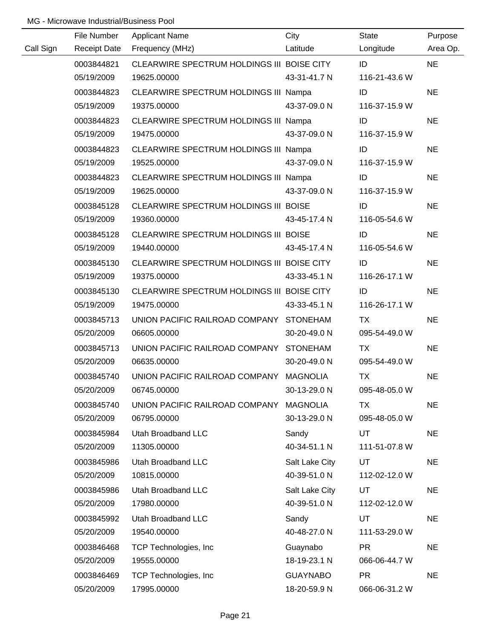|           | File Number         | <b>Applicant Name</b>                      | City            | State         | Purpose   |
|-----------|---------------------|--------------------------------------------|-----------------|---------------|-----------|
| Call Sign | <b>Receipt Date</b> | Frequency (MHz)                            | Latitude        | Longitude     | Area Op.  |
|           | 0003844821          | CLEARWIRE SPECTRUM HOLDINGS III BOISE CITY |                 | ID            | <b>NE</b> |
|           | 05/19/2009          | 19625.00000                                | 43-31-41.7 N    | 116-21-43.6 W |           |
|           | 0003844823          | CLEARWIRE SPECTRUM HOLDINGS III Nampa      |                 | ID            | <b>NE</b> |
|           | 05/19/2009          | 19375.00000                                | 43-37-09.0 N    | 116-37-15.9 W |           |
|           | 0003844823          | CLEARWIRE SPECTRUM HOLDINGS III Nampa      |                 | ID            | <b>NE</b> |
|           | 05/19/2009          | 19475.00000                                | 43-37-09.0 N    | 116-37-15.9 W |           |
|           | 0003844823          | CLEARWIRE SPECTRUM HOLDINGS III Nampa      |                 | ID            | <b>NE</b> |
|           | 05/19/2009          | 19525.00000                                | 43-37-09.0 N    | 116-37-15.9 W |           |
|           | 0003844823          | CLEARWIRE SPECTRUM HOLDINGS III Nampa      |                 | ID            | <b>NE</b> |
|           | 05/19/2009          | 19625.00000                                | 43-37-09.0 N    | 116-37-15.9 W |           |
|           | 0003845128          | CLEARWIRE SPECTRUM HOLDINGS III BOISE      |                 | ID            | <b>NE</b> |
|           | 05/19/2009          | 19360.00000                                | 43-45-17.4 N    | 116-05-54.6 W |           |
|           | 0003845128          | CLEARWIRE SPECTRUM HOLDINGS III BOISE      |                 | ID            | <b>NE</b> |
|           | 05/19/2009          | 19440.00000                                | 43-45-17.4 N    | 116-05-54.6 W |           |
|           | 0003845130          | CLEARWIRE SPECTRUM HOLDINGS III BOISE CITY |                 | ID            | <b>NE</b> |
|           | 05/19/2009          | 19375.00000                                | 43-33-45.1 N    | 116-26-17.1 W |           |
|           | 0003845130          | CLEARWIRE SPECTRUM HOLDINGS III BOISE CITY |                 | ID            | <b>NE</b> |
|           | 05/19/2009          | 19475.00000                                | 43-33-45.1 N    | 116-26-17.1 W |           |
|           | 0003845713          | UNION PACIFIC RAILROAD COMPANY STONEHAM    |                 | <b>TX</b>     | <b>NE</b> |
|           | 05/20/2009          | 06605.00000                                | 30-20-49.0 N    | 095-54-49.0 W |           |
|           | 0003845713          | UNION PACIFIC RAILROAD COMPANY STONEHAM    |                 | <b>TX</b>     | <b>NE</b> |
|           | 05/20/2009          | 06635.00000                                | 30-20-49.0 N    | 095-54-49.0 W |           |
|           | 0003845740          | UNION PACIFIC RAILROAD COMPANY MAGNOLIA    |                 | <b>TX</b>     | <b>NE</b> |
|           | 05/20/2009          | 06745.00000                                | 30-13-29.0 N    | 095-48-05.0 W |           |
|           | 0003845740          | UNION PACIFIC RAILROAD COMPANY             | <b>MAGNOLIA</b> | TX            | <b>NE</b> |
|           | 05/20/2009          | 06795.00000                                | 30-13-29.0 N    | 095-48-05.0 W |           |
|           | 0003845984          | Utah Broadband LLC                         | Sandy           | UT            | <b>NE</b> |
|           | 05/20/2009          | 11305.00000                                | 40-34-51.1 N    | 111-51-07.8 W |           |
|           | 0003845986          | Utah Broadband LLC                         | Salt Lake City  | <b>UT</b>     | <b>NE</b> |
|           | 05/20/2009          | 10815.00000                                | 40-39-51.0 N    | 112-02-12.0 W |           |
|           | 0003845986          | Utah Broadband LLC                         | Salt Lake City  | <b>UT</b>     | <b>NE</b> |
|           | 05/20/2009          | 17980.00000                                | 40-39-51.0 N    | 112-02-12.0 W |           |
|           | 0003845992          | Utah Broadband LLC                         | Sandy           | UT            | <b>NE</b> |
|           | 05/20/2009          | 19540.00000                                | 40-48-27.0 N    | 111-53-29.0 W |           |
|           | 0003846468          | <b>TCP Technologies, Inc.</b>              | Guaynabo        | <b>PR</b>     | <b>NE</b> |
|           | 05/20/2009          | 19555.00000                                | 18-19-23.1 N    | 066-06-44.7 W |           |
|           | 0003846469          | TCP Technologies, Inc.                     | <b>GUAYNABO</b> | <b>PR</b>     | <b>NE</b> |
|           | 05/20/2009          | 17995.00000                                | 18-20-59.9 N    | 066-06-31.2 W |           |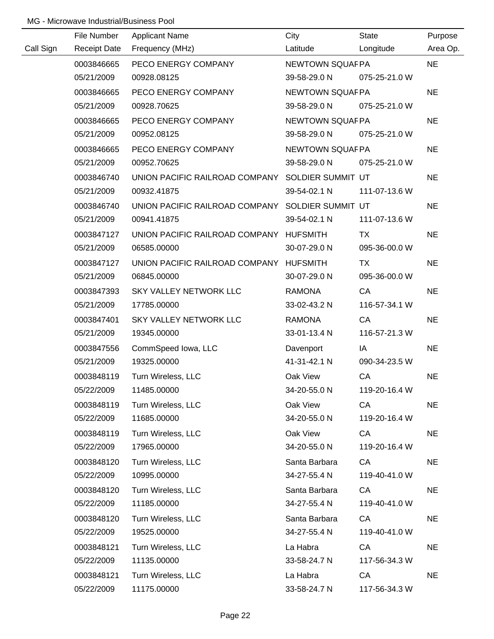|           | File Number         | <b>Applicant Name</b>                            | City            | <b>State</b>  | Purpose   |
|-----------|---------------------|--------------------------------------------------|-----------------|---------------|-----------|
| Call Sign | <b>Receipt Date</b> | Frequency (MHz)                                  | Latitude        | Longitude     | Area Op.  |
|           | 0003846665          | PECO ENERGY COMPANY                              | NEWTOWN SQUAFPA |               | <b>NE</b> |
|           | 05/21/2009          | 00928.08125                                      | 39-58-29.0 N    | 075-25-21.0 W |           |
|           | 0003846665          | PECO ENERGY COMPANY                              | NEWTOWN SQUAFPA |               | <b>NE</b> |
|           | 05/21/2009          | 00928.70625                                      | 39-58-29.0 N    | 075-25-21.0 W |           |
|           | 0003846665          | PECO ENERGY COMPANY                              | NEWTOWN SQUAFPA |               | <b>NE</b> |
|           | 05/21/2009          | 00952.08125                                      | 39-58-29.0 N    | 075-25-21.0 W |           |
|           | 0003846665          | PECO ENERGY COMPANY                              | NEWTOWN SQUAFPA |               | <b>NE</b> |
|           | 05/21/2009          | 00952.70625                                      | 39-58-29.0 N    | 075-25-21.0 W |           |
|           | 0003846740          | UNION PACIFIC RAILROAD COMPANY SOLDIER SUMMIT UT |                 |               | <b>NE</b> |
|           | 05/21/2009          | 00932.41875                                      | 39-54-02.1 N    | 111-07-13.6 W |           |
|           | 0003846740          | UNION PACIFIC RAILROAD COMPANY SOLDIER SUMMIT UT |                 |               | <b>NE</b> |
|           | 05/21/2009          | 00941.41875                                      | 39-54-02.1 N    | 111-07-13.6 W |           |
|           | 0003847127          | UNION PACIFIC RAILROAD COMPANY HUFSMITH          |                 | TX            | <b>NE</b> |
|           | 05/21/2009          | 06585.00000                                      | 30-07-29.0 N    | 095-36-00.0 W |           |
|           | 0003847127          | UNION PACIFIC RAILROAD COMPANY HUFSMITH          |                 | TX            | <b>NE</b> |
|           | 05/21/2009          | 06845.00000                                      | 30-07-29.0 N    | 095-36-00.0 W |           |
|           | 0003847393          | SKY VALLEY NETWORK LLC                           | <b>RAMONA</b>   | CA            | <b>NE</b> |
|           | 05/21/2009          | 17785.00000                                      | 33-02-43.2 N    | 116-57-34.1 W |           |
|           | 0003847401          | SKY VALLEY NETWORK LLC                           | <b>RAMONA</b>   | CA            | <b>NE</b> |
|           | 05/21/2009          | 19345.00000                                      | 33-01-13.4 N    | 116-57-21.3 W |           |
|           | 0003847556          | CommSpeed Iowa, LLC                              | Davenport       | IA            | <b>NE</b> |
|           | 05/21/2009          | 19325.00000                                      | 41-31-42.1 N    | 090-34-23.5 W |           |
|           | 0003848119          | Turn Wireless, LLC                               | Oak View        | CA            | <b>NE</b> |
|           | 05/22/2009          | 11485.00000                                      | 34-20-55.0 N    | 119-20-16.4 W |           |
|           | 0003848119          | Turn Wireless, LLC                               | Oak View        | CA            | <b>NE</b> |
|           | 05/22/2009          | 11685.00000                                      | 34-20-55.0 N    | 119-20-16.4 W |           |
|           | 0003848119          | Turn Wireless, LLC                               | Oak View        | CA            | <b>NE</b> |
|           | 05/22/2009          | 17965.00000                                      | 34-20-55.0 N    | 119-20-16.4 W |           |
|           | 0003848120          | Turn Wireless, LLC                               | Santa Barbara   | CA            | <b>NE</b> |
|           | 05/22/2009          | 10995.00000                                      | 34-27-55.4 N    | 119-40-41.0 W |           |
|           | 0003848120          | Turn Wireless, LLC                               | Santa Barbara   | CA            | <b>NE</b> |
|           | 05/22/2009          | 11185.00000                                      | 34-27-55.4 N    | 119-40-41.0 W |           |
|           | 0003848120          | Turn Wireless, LLC                               | Santa Barbara   | CA            | <b>NE</b> |
|           | 05/22/2009          | 19525.00000                                      | 34-27-55.4 N    | 119-40-41.0 W |           |
|           | 0003848121          | Turn Wireless, LLC                               | La Habra        | CA            | <b>NE</b> |
|           | 05/22/2009          | 11135.00000                                      | 33-58-24.7 N    | 117-56-34.3 W |           |
|           | 0003848121          | Turn Wireless, LLC                               | La Habra        | CA            | <b>NE</b> |
|           | 05/22/2009          | 11175.00000                                      | 33-58-24.7 N    | 117-56-34.3 W |           |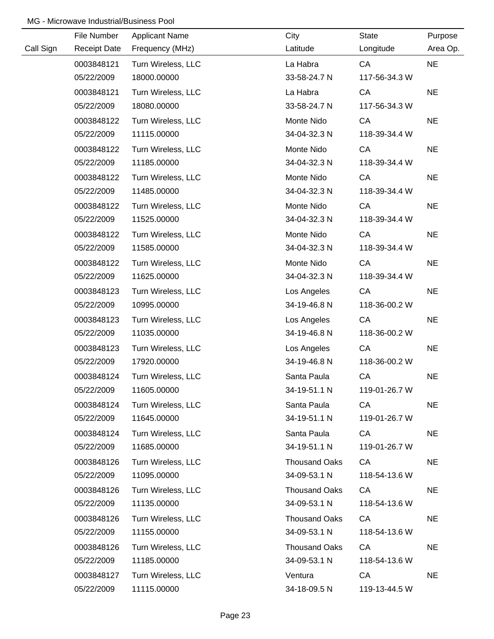|           | File Number         | <b>Applicant Name</b> | City                 | State         | Purpose   |
|-----------|---------------------|-----------------------|----------------------|---------------|-----------|
| Call Sign | <b>Receipt Date</b> | Frequency (MHz)       | Latitude             | Longitude     | Area Op.  |
|           | 0003848121          | Turn Wireless, LLC    | La Habra             | CA            | <b>NE</b> |
|           | 05/22/2009          | 18000.00000           | 33-58-24.7 N         | 117-56-34.3 W |           |
|           | 0003848121          | Turn Wireless, LLC    | La Habra             | CA            | <b>NE</b> |
|           | 05/22/2009          | 18080.00000           | 33-58-24.7 N         | 117-56-34.3 W |           |
|           | 0003848122          | Turn Wireless, LLC    | Monte Nido           | CA            | <b>NE</b> |
|           | 05/22/2009          | 11115.00000           | 34-04-32.3 N         | 118-39-34.4 W |           |
|           | 0003848122          | Turn Wireless, LLC    | Monte Nido           | CA            | <b>NE</b> |
|           | 05/22/2009          | 11185.00000           | 34-04-32.3 N         | 118-39-34.4 W |           |
|           | 0003848122          | Turn Wireless, LLC    | Monte Nido           | CA            | <b>NE</b> |
|           | 05/22/2009          | 11485.00000           | 34-04-32.3 N         | 118-39-34.4 W |           |
|           | 0003848122          | Turn Wireless, LLC    | Monte Nido           | CA            | <b>NE</b> |
|           | 05/22/2009          | 11525.00000           | 34-04-32.3 N         | 118-39-34.4 W |           |
|           | 0003848122          | Turn Wireless, LLC    | Monte Nido           | CA            | <b>NE</b> |
|           | 05/22/2009          | 11585.00000           | 34-04-32.3 N         | 118-39-34.4 W |           |
|           | 0003848122          | Turn Wireless, LLC    | Monte Nido           | CA            | <b>NE</b> |
|           | 05/22/2009          | 11625.00000           | 34-04-32.3 N         | 118-39-34.4 W |           |
|           | 0003848123          | Turn Wireless, LLC    | Los Angeles          | CA            | <b>NE</b> |
|           | 05/22/2009          | 10995.00000           | 34-19-46.8 N         | 118-36-00.2 W |           |
|           | 0003848123          | Turn Wireless, LLC    | Los Angeles          | CA            | <b>NE</b> |
|           | 05/22/2009          | 11035.00000           | 34-19-46.8 N         | 118-36-00.2 W |           |
|           | 0003848123          | Turn Wireless, LLC    | Los Angeles          | CA            | <b>NE</b> |
|           | 05/22/2009          | 17920.00000           | 34-19-46.8 N         | 118-36-00.2 W |           |
|           | 0003848124          | Turn Wireless, LLC    | Santa Paula          | CA            | <b>NE</b> |
|           | 05/22/2009          | 11605.00000           | 34-19-51.1 N         | 119-01-26.7 W |           |
|           | 0003848124          | Turn Wireless, LLC    | Santa Paula          | CA            | <b>NE</b> |
|           | 05/22/2009          | 11645.00000           | 34-19-51.1 N         | 119-01-26.7 W |           |
|           | 0003848124          | Turn Wireless, LLC    | Santa Paula          | CA            | <b>NE</b> |
|           | 05/22/2009          | 11685.00000           | 34-19-51.1 N         | 119-01-26.7 W |           |
|           | 0003848126          | Turn Wireless, LLC    | <b>Thousand Oaks</b> | CA            | <b>NE</b> |
|           | 05/22/2009          | 11095.00000           | 34-09-53.1 N         | 118-54-13.6 W |           |
|           | 0003848126          | Turn Wireless, LLC    | <b>Thousand Oaks</b> | CA            | <b>NE</b> |
|           | 05/22/2009          | 11135.00000           | 34-09-53.1 N         | 118-54-13.6 W |           |
|           | 0003848126          | Turn Wireless, LLC    | <b>Thousand Oaks</b> | CA            | <b>NE</b> |
|           | 05/22/2009          | 11155.00000           | 34-09-53.1 N         | 118-54-13.6 W |           |
|           | 0003848126          | Turn Wireless, LLC    | <b>Thousand Oaks</b> | CA            | <b>NE</b> |
|           | 05/22/2009          | 11185.00000           | 34-09-53.1 N         | 118-54-13.6 W |           |
|           | 0003848127          | Turn Wireless, LLC    | Ventura              | CA            | <b>NE</b> |
|           | 05/22/2009          | 11115.00000           | 34-18-09.5 N         | 119-13-44.5 W |           |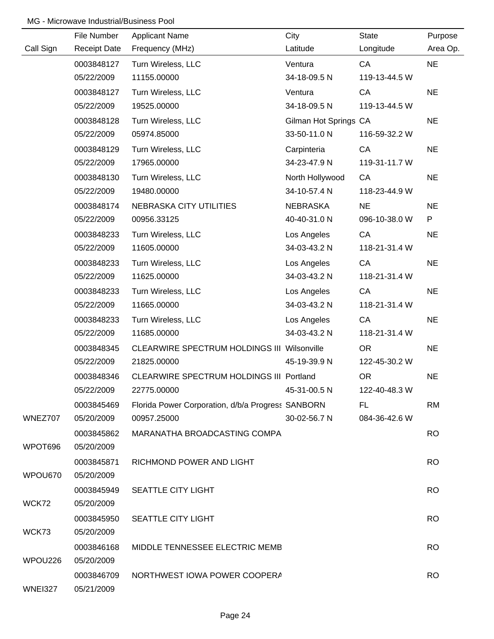|                | File Number         | <b>Applicant Name</b>                              | City                  | <b>State</b>  | Purpose   |
|----------------|---------------------|----------------------------------------------------|-----------------------|---------------|-----------|
| Call Sign      | <b>Receipt Date</b> | Frequency (MHz)                                    | Latitude              | Longitude     | Area Op.  |
|                | 0003848127          | Turn Wireless, LLC                                 | Ventura               | CA            | <b>NE</b> |
|                | 05/22/2009          | 11155.00000                                        | 34-18-09.5 N          | 119-13-44.5 W |           |
|                | 0003848127          | Turn Wireless, LLC                                 | Ventura               | CA            | <b>NE</b> |
|                | 05/22/2009          | 19525.00000                                        | 34-18-09.5 N          | 119-13-44.5 W |           |
|                | 0003848128          | Turn Wireless, LLC                                 | Gilman Hot Springs CA |               | <b>NE</b> |
|                | 05/22/2009          | 05974.85000                                        | 33-50-11.0 N          | 116-59-32.2 W |           |
|                | 0003848129          | Turn Wireless, LLC                                 | Carpinteria           | CA            | <b>NE</b> |
|                | 05/22/2009          | 17965.00000                                        | 34-23-47.9 N          | 119-31-11.7 W |           |
|                | 0003848130          | Turn Wireless, LLC                                 | North Hollywood       | CA            | <b>NE</b> |
|                | 05/22/2009          | 19480.00000                                        | 34-10-57.4 N          | 118-23-44.9 W |           |
|                | 0003848174          | NEBRASKA CITY UTILITIES                            | NEBRASKA              | <b>NE</b>     | <b>NE</b> |
|                | 05/22/2009          | 00956.33125                                        | 40-40-31.0 N          | 096-10-38.0 W | P         |
|                | 0003848233          | Turn Wireless, LLC                                 | Los Angeles           | CA            | <b>NE</b> |
|                | 05/22/2009          | 11605.00000                                        | 34-03-43.2 N          | 118-21-31.4 W |           |
|                | 0003848233          | Turn Wireless, LLC                                 | Los Angeles           | CA            | <b>NE</b> |
|                | 05/22/2009          | 11625.00000                                        | 34-03-43.2 N          | 118-21-31.4 W |           |
|                | 0003848233          | Turn Wireless, LLC                                 | Los Angeles           | CA            | <b>NE</b> |
|                | 05/22/2009          | 11665.00000                                        | 34-03-43.2 N          | 118-21-31.4 W |           |
|                | 0003848233          | Turn Wireless, LLC                                 | Los Angeles           | CA            | <b>NE</b> |
|                | 05/22/2009          | 11685.00000                                        | 34-03-43.2 N          | 118-21-31.4 W |           |
|                | 0003848345          | <b>CLEARWIRE SPECTRUM HOLDINGS III Wilsonville</b> |                       | <b>OR</b>     | <b>NE</b> |
|                | 05/22/2009          | 21825.00000                                        | 45-19-39.9 N          | 122-45-30.2 W |           |
|                | 0003848346          | CLEARWIRE SPECTRUM HOLDINGS III Portland           |                       | <b>OR</b>     | <b>NE</b> |
|                | 05/22/2009          | 22775.00000                                        | 45-31-00.5 N          | 122-40-48.3 W |           |
|                | 0003845469          | Florida Power Corporation, d/b/a Progress SANBORN  |                       | FL            | <b>RM</b> |
| WNEZ707        | 05/20/2009          | 00957.25000                                        | 30-02-56.7 N          | 084-36-42.6 W |           |
|                | 0003845862          | MARANATHA BROADCASTING COMPA                       |                       |               | <b>RO</b> |
| WPOT696        | 05/20/2009          |                                                    |                       |               |           |
|                | 0003845871          | RICHMOND POWER AND LIGHT                           |                       |               | <b>RO</b> |
| WPOU670        | 05/20/2009          |                                                    |                       |               |           |
|                | 0003845949          | <b>SEATTLE CITY LIGHT</b>                          |                       |               | <b>RO</b> |
| WCK72          | 05/20/2009          |                                                    |                       |               |           |
|                | 0003845950          | SEATTLE CITY LIGHT                                 |                       |               | <b>RO</b> |
| WCK73          | 05/20/2009          |                                                    |                       |               |           |
|                | 0003846168          | MIDDLE TENNESSEE ELECTRIC MEMB                     |                       |               | <b>RO</b> |
| WPOU226        | 05/20/2009          |                                                    |                       |               |           |
|                | 0003846709          | NORTHWEST IOWA POWER COOPERA                       |                       |               | <b>RO</b> |
| <b>WNEI327</b> | 05/21/2009          |                                                    |                       |               |           |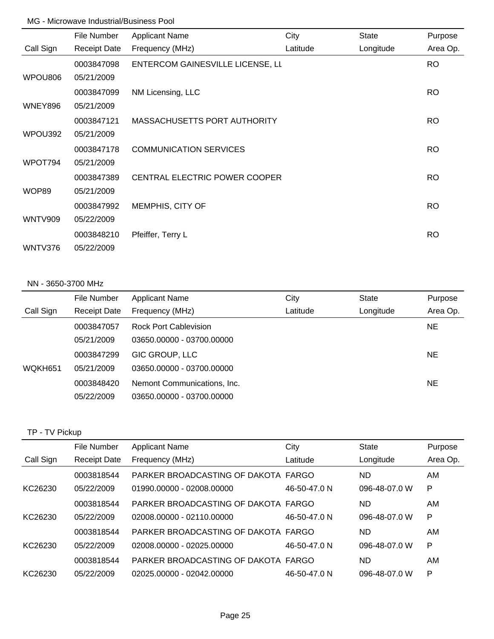|                | File Number         | <b>Applicant Name</b>            | City     | <b>State</b> | Purpose   |
|----------------|---------------------|----------------------------------|----------|--------------|-----------|
| Call Sign      | <b>Receipt Date</b> | Frequency (MHz)                  | Latitude | Longitude    | Area Op.  |
|                | 0003847098          | ENTERCOM GAINESVILLE LICENSE, LI |          |              | RO.       |
| WPOU806        | 05/21/2009          |                                  |          |              |           |
|                | 0003847099          | NM Licensing, LLC                |          |              | <b>RO</b> |
| <b>WNEY896</b> | 05/21/2009          |                                  |          |              |           |
|                | 0003847121          | MASSACHUSETTS PORT AUTHORITY     |          |              | <b>RO</b> |
| WPOU392        | 05/21/2009          |                                  |          |              |           |
|                | 0003847178          | <b>COMMUNICATION SERVICES</b>    |          |              | <b>RO</b> |
| WPOT794        | 05/21/2009          |                                  |          |              |           |
|                | 0003847389          | CENTRAL ELECTRIC POWER COOPER    |          |              | <b>RO</b> |
| WOP89          | 05/21/2009          |                                  |          |              |           |
|                | 0003847992          | MEMPHIS, CITY OF                 |          |              | <b>RO</b> |
| <b>WNTV909</b> | 05/22/2009          |                                  |          |              |           |
|                | 0003848210          | Pfeiffer, Terry L                |          |              | <b>RO</b> |
| WNTV376        | 05/22/2009          |                                  |          |              |           |

#### NN - 3650-3700 MHz

|           | File Number         | <b>Applicant Name</b>       | City     | <b>State</b> | Purpose   |
|-----------|---------------------|-----------------------------|----------|--------------|-----------|
| Call Sign | <b>Receipt Date</b> | Frequency (MHz)             | Latitude | Longitude    | Area Op.  |
|           | 0003847057          | Rock Port Cablevision       |          |              | NE.       |
|           | 05/21/2009          | 03650.00000 - 03700.00000   |          |              |           |
|           | 0003847299          | GIC GROUP, LLC              |          |              | <b>NE</b> |
| WQKH651   | 05/21/2009          | 03650.00000 - 03700.00000   |          |              |           |
|           | 0003848420          | Nemont Communications, Inc. |          |              | NE        |
|           | 05/22/2009          | 03650.00000 - 03700.00000   |          |              |           |

## TP - TV Pickup

|           | File Number         | <b>Applicant Name</b>               | City         | <b>State</b>  | Purpose  |
|-----------|---------------------|-------------------------------------|--------------|---------------|----------|
| Call Sign | <b>Receipt Date</b> | Frequency (MHz)                     | Latitude     | Longitude     | Area Op. |
|           | 0003818544          | PARKER BROADCASTING OF DAKOTA FARGO |              | ND            | AM       |
| KC26230   | 05/22/2009          | 01990.00000 - 02008.00000           | 46-50-47.0 N | 096-48-07.0 W | P        |
|           | 0003818544          | PARKER BROADCASTING OF DAKOTA FARGO |              | ND            | AM.      |
| KC26230   | 05/22/2009          | 02008.00000 - 02110.00000           | 46-50-47.0 N | 096-48-07.0 W | P        |
|           | 0003818544          | PARKER BROADCASTING OF DAKOTA FARGO |              | ND            | AM.      |
| KC26230   | 05/22/2009          | 02008.00000 - 02025.00000           | 46-50-47.0 N | 096-48-07.0 W | P        |
|           | 0003818544          | PARKER BROADCASTING OF DAKOTA FARGO |              | ND            | AM       |
| KC26230   | 05/22/2009          | 02025.00000 - 02042.00000           | 46-50-47.0 N | 096-48-07.0 W | P        |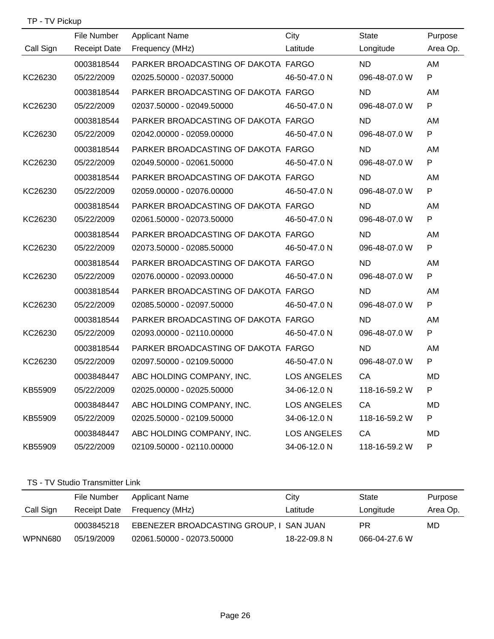| TP - TV Pickup |  |
|----------------|--|
|----------------|--|

|           | File Number         | <b>Applicant Name</b>               | City               | State         | Purpose  |
|-----------|---------------------|-------------------------------------|--------------------|---------------|----------|
| Call Sign | <b>Receipt Date</b> | Frequency (MHz)                     | Latitude           | Longitude     | Area Op. |
|           | 0003818544          | PARKER BROADCASTING OF DAKOTA FARGO |                    | <b>ND</b>     | AM       |
| KC26230   | 05/22/2009          | 02025.50000 - 02037.50000           | 46-50-47.0 N       | 096-48-07.0 W | P        |
|           | 0003818544          | PARKER BROADCASTING OF DAKOTA FARGO |                    | ND.           | AM       |
| KC26230   | 05/22/2009          | 02037.50000 - 02049.50000           | 46-50-47.0 N       | 096-48-07.0 W | P        |
|           | 0003818544          | PARKER BROADCASTING OF DAKOTA FARGO |                    | <b>ND</b>     | AM       |
| KC26230   | 05/22/2009          | 02042.00000 - 02059.00000           | 46-50-47.0 N       | 096-48-07.0 W | P        |
|           | 0003818544          | PARKER BROADCASTING OF DAKOTA FARGO |                    | ND.           | AM       |
| KC26230   | 05/22/2009          | 02049.50000 - 02061.50000           | 46-50-47.0 N       | 096-48-07.0 W | P        |
|           | 0003818544          | PARKER BROADCASTING OF DAKOTA FARGO |                    | <b>ND</b>     | AM       |
| KC26230   | 05/22/2009          | 02059.00000 - 02076.00000           | 46-50-47.0 N       | 096-48-07.0 W | P        |
|           | 0003818544          | PARKER BROADCASTING OF DAKOTA FARGO |                    | ND.           | AM       |
| KC26230   | 05/22/2009          | 02061.50000 - 02073.50000           | 46-50-47.0 N       | 096-48-07.0 W | P        |
|           | 0003818544          | PARKER BROADCASTING OF DAKOTA FARGO |                    | <b>ND</b>     | AM       |
| KC26230   | 05/22/2009          | 02073.50000 - 02085.50000           | 46-50-47.0 N       | 096-48-07.0 W | P        |
|           | 0003818544          | PARKER BROADCASTING OF DAKOTA FARGO |                    | ND.           | AM       |
| KC26230   | 05/22/2009          | 02076.00000 - 02093.00000           | 46-50-47.0 N       | 096-48-07.0 W | P        |
|           | 0003818544          | PARKER BROADCASTING OF DAKOTA FARGO |                    | <b>ND</b>     | AM       |
| KC26230   | 05/22/2009          | 02085.50000 - 02097.50000           | 46-50-47.0 N       | 096-48-07.0 W | P        |
|           | 0003818544          | PARKER BROADCASTING OF DAKOTA FARGO |                    | <b>ND</b>     | AM       |
| KC26230   | 05/22/2009          | 02093.00000 - 02110.00000           | 46-50-47.0 N       | 096-48-07.0 W | P        |
|           | 0003818544          | PARKER BROADCASTING OF DAKOTA FARGO |                    | <b>ND</b>     | AM       |
| KC26230   | 05/22/2009          | 02097.50000 - 02109.50000           | 46-50-47.0 N       | 096-48-07.0 W | P        |
|           | 0003848447          | ABC HOLDING COMPANY, INC.           | <b>LOS ANGELES</b> | CA            | MD       |
| KB55909   | 05/22/2009          | 02025.00000 - 02025.50000           | 34-06-12.0 N       | 118-16-59.2 W | P        |
|           | 0003848447          | ABC HOLDING COMPANY, INC.           | <b>LOS ANGELES</b> | CA            | MD       |
| KB55909   | 05/22/2009          | 02025.50000 - 02109.50000           | 34-06-12.0 N       | 118-16-59.2 W | P        |
|           | 0003848447          | ABC HOLDING COMPANY, INC.           | <b>LOS ANGELES</b> | CA            | MD       |
| KB55909   | 05/22/2009          | 02109.50000 - 02110.00000           | 34-06-12.0 N       | 118-16-59.2 W | P        |
|           |                     |                                     |                    |               |          |

### TS - TV Studio Transmitter Link

|           | File Number  | Applicant Name                          | City         | State         | Purpose  |
|-----------|--------------|-----------------------------------------|--------------|---------------|----------|
| Call Sign | Receipt Date | Frequency (MHz)                         | Latitude     | Longitude     | Area Op. |
|           | 0003845218   | EBENEZER BROADCASTING GROUP, I SAN JUAN |              | PR.           | MD       |
| WPNN680   | 05/19/2009   | 02061.50000 - 02073.50000               | 18-22-09.8 N | 066-04-27.6 W |          |